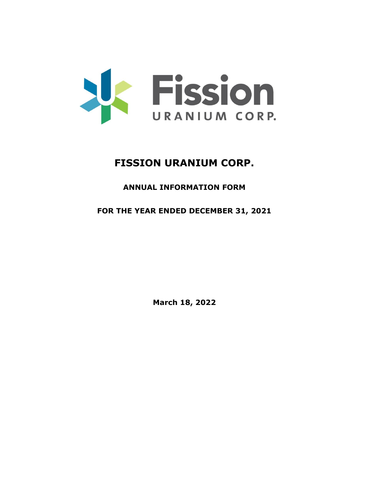

# **FISSION URANIUM CORP.**

# **ANNUAL INFORMATION FORM**

# **FOR THE YEAR ENDED DECEMBER 31, 2021**

**March 18, 2022**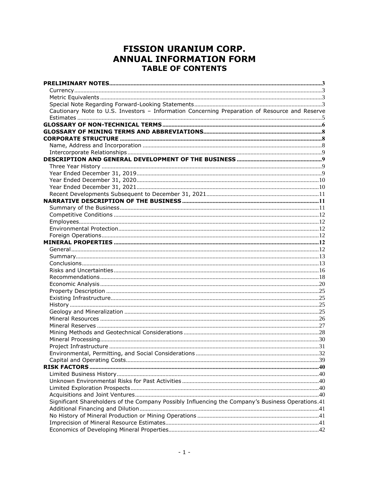# **FISSION URANIUM CORP. ANNUAL INFORMATION FORM TABLE OF CONTENTS**

| Cautionary Note to U.S. Investors - Information Concerning Preparation of Resource and Reserve    |  |
|---------------------------------------------------------------------------------------------------|--|
|                                                                                                   |  |
|                                                                                                   |  |
|                                                                                                   |  |
|                                                                                                   |  |
|                                                                                                   |  |
|                                                                                                   |  |
|                                                                                                   |  |
|                                                                                                   |  |
|                                                                                                   |  |
|                                                                                                   |  |
|                                                                                                   |  |
|                                                                                                   |  |
|                                                                                                   |  |
|                                                                                                   |  |
|                                                                                                   |  |
|                                                                                                   |  |
|                                                                                                   |  |
|                                                                                                   |  |
|                                                                                                   |  |
|                                                                                                   |  |
|                                                                                                   |  |
|                                                                                                   |  |
|                                                                                                   |  |
|                                                                                                   |  |
|                                                                                                   |  |
|                                                                                                   |  |
|                                                                                                   |  |
|                                                                                                   |  |
|                                                                                                   |  |
|                                                                                                   |  |
|                                                                                                   |  |
|                                                                                                   |  |
|                                                                                                   |  |
|                                                                                                   |  |
|                                                                                                   |  |
|                                                                                                   |  |
|                                                                                                   |  |
|                                                                                                   |  |
|                                                                                                   |  |
|                                                                                                   |  |
|                                                                                                   |  |
| Significant Shareholders of the Company Possibly Influencing the Company's Business Operations.41 |  |
|                                                                                                   |  |
|                                                                                                   |  |
|                                                                                                   |  |
|                                                                                                   |  |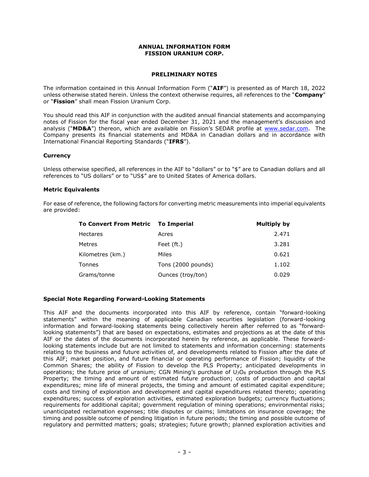#### **ANNUAL INFORMATION FORM FISSION URANIUM CORP.**

#### **PRELIMINARY NOTES**

<span id="page-3-0"></span>The information contained in this Annual Information Form ("**AIF**") is presented as of March 18, 2022 unless otherwise stated herein. Unless the context otherwise requires, all references to the "**Company**" or "**Fission**" shall mean Fission Uranium Corp.

You should read this AIF in conjunction with the audited annual financial statements and accompanying notes of Fission for the fiscal year ended December 31, 2021 and the management's discussion and analysis ("**MD&A**") thereon, which are available on Fission's SEDAR profile at [www.sedar.com.](http://www.sedar.com/) The Company presents its financial statements and MD&A in Canadian dollars and in accordance with International Financial Reporting Standards ("**IFRS**").

# <span id="page-3-1"></span>**Currency**

Unless otherwise specified, all references in the AIF to "dollars" or to "\$" are to Canadian dollars and all references to "US dollars" or to "US\$" are to United States of America dollars.

#### <span id="page-3-2"></span>**Metric Equivalents**

For ease of reference, the following factors for converting metric measurements into imperial equivalents are provided:

| To Convert From Metric To Imperial |                    | Multiply by |
|------------------------------------|--------------------|-------------|
| <b>Hectares</b>                    | Acres              | 2.471       |
| <b>Metres</b>                      | Feet (ft.)         | 3.281       |
| Kilometres (km.)                   | Miles              | 0.621       |
| Tonnes                             | Tons (2000 pounds) | 1.102       |
| Grams/tonne                        | Ounces (troy/ton)  | 0.029       |

#### <span id="page-3-3"></span>**Special Note Regarding Forward-Looking Statements**

This AIF and the documents incorporated into this AIF by reference, contain "forward-looking statements" within the meaning of applicable Canadian securities legislation (forward-looking information and forward-looking statements being collectively herein after referred to as "forwardlooking statements") that are based on expectations, estimates and projections as at the date of this AIF or the dates of the documents incorporated herein by reference, as applicable. These forwardlooking statements include but are not limited to statements and information concerning: statements relating to the business and future activities of, and developments related to Fission after the date of this AIF; market position, and future financial or operating performance of Fission; liquidity of the Common Shares; the ability of Fission to develop the PLS Property; anticipated developments in operations; the future price of uranium; CGN Mining's purchase of  $U_3O_8$  production through the PLS Property; the timing and amount of estimated future production; costs of production and capital expenditures; mine life of mineral projects, the timing and amount of estimated capital expenditure; costs and timing of exploration and development and capital expenditures related thereto; operating expenditures; success of exploration activities, estimated exploration budgets; currency fluctuations; requirements for additional capital; government regulation of mining operations; environmental risks; unanticipated reclamation expenses; title disputes or claims; limitations on insurance coverage; the timing and possible outcome of pending litigation in future periods; the timing and possible outcome of regulatory and permitted matters; goals; strategies; future growth; planned exploration activities and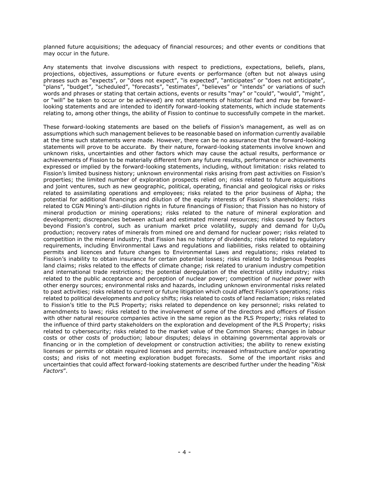planned future acquisitions; the adequacy of financial resources; and other events or conditions that may occur in the future.

Any statements that involve discussions with respect to predictions, expectations, beliefs, plans, projections, objectives, assumptions or future events or performance (often but not always using phrases such as "expects", or "does not expect", "is expected", "anticipates" or "does not anticipate", "plans", "budget", "scheduled", "forecasts", "estimates", "believes" or "intends" or variations of such words and phrases or stating that certain actions, events or results "may" or "could", "would", "might", or "will" be taken to occur or be achieved) are not statements of historical fact and may be forwardlooking statements and are intended to identify forward-looking statements, which include statements relating to, among other things, the ability of Fission to continue to successfully compete in the market.

These forward-looking statements are based on the beliefs of Fission's management, as well as on assumptions which such management believes to be reasonable based on information currently available at the time such statements were made. However, there can be no assurance that the forward-looking statements will prove to be accurate. By their nature, forward-looking statements involve known and unknown risks, uncertainties and other factors which may cause the actual results, performance or achievements of Fission to be materially different from any future results, performance or achievements expressed or implied by the forward-looking statements, including, without limitation: risks related to Fission's limited business history; unknown environmental risks arising from past activities on Fission's properties; the limited number of exploration prospects relied on; risks related to future acquisitions and joint ventures, such as new geographic, political, operating, financial and geological risks or risks related to assimilating operations and employees; risks related to the prior business of Alpha; the potential for additional financings and dilution of the equity interests of Fission's shareholders; risks related to CGN Mining's anti-dilution rights in future financings of Fission; that Fission has no history of mineral production or mining operations; risks related to the nature of mineral exploration and development; discrepancies between actual and estimated mineral resources; risks caused by factors beyond Fission's control, such as uranium market price volatility, supply and demand for  $U_3O_8$ production; recovery rates of minerals from mined ore and demand for nuclear power; risks related to competition in the mineral industry; that Fission has no history of dividends; risks related to regulatory requirements, including Environmental Laws and regulations and liabilities, risks related to obtaining permits and licences and future changes to Environmental Laws and regulations; risks related to Fission's inability to obtain insurance for certain potential losses; risks related to Indigenous Peoples land claims; risks related to the effects of climate change; risk related to uranium industry competition and international trade restrictions; the potential deregulation of the electrical utility industry; risks related to the public acceptance and perception of nuclear power; competition of nuclear power with other energy sources; environmental risks and hazards, including unknown environmental risks related to past activities; risks related to current or future litigation which could affect Fission's operations; risks related to political developments and policy shifts; risks related to costs of land reclamation; risks related to Fission's title to the PLS Property; risks related to dependence on key personnel; risks related to amendments to laws; risks related to the involvement of some of the directors and officers of Fission with other natural resource companies active in the same region as the PLS Property; risks related to the influence of third party stakeholders on the exploration and development of the PLS Property; risks related to cybersecurity; risks related to the market value of the Common Shares; changes in labour costs or other costs of production; labour disputes; delays in obtaining governmental approvals or financing or in the completion of development or construction activities; the ability to renew existing licenses or permits or obtain required licenses and permits; increased infrastructure and/or operating costs; and risks of not meeting exploration budget forecasts. Some of the important risks and uncertainties that could affect forward-looking statements are described further under the heading "*Risk Factors*".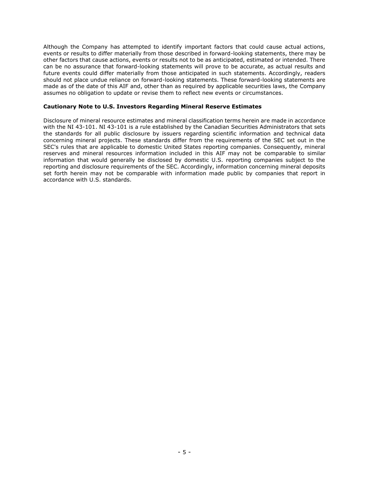Although the Company has attempted to identify important factors that could cause actual actions, events or results to differ materially from those described in forward-looking statements, there may be other factors that cause actions, events or results not to be as anticipated, estimated or intended. There can be no assurance that forward-looking statements will prove to be accurate, as actual results and future events could differ materially from those anticipated in such statements. Accordingly, readers should not place undue reliance on forward-looking statements. These forward-looking statements are made as of the date of this AIF and, other than as required by applicable securities laws, the Company assumes no obligation to update or revise them to reflect new events or circumstances.

#### <span id="page-5-0"></span>**Cautionary Note to U.S. Investors Regarding Mineral Reserve Estimates**

Disclosure of mineral resource estimates and mineral classification terms herein are made in accordance with the NI 43-101. NI 43-101 is a rule established by the Canadian Securities Administrators that sets the standards for all public disclosure by issuers regarding scientific information and technical data concerning mineral projects. These standards differ from the requirements of the SEC set out in the SEC's rules that are applicable to domestic United States reporting companies. Consequently, mineral reserves and mineral resources information included in this AIF may not be comparable to similar information that would generally be disclosed by domestic U.S. reporting companies subject to the reporting and disclosure requirements of the SEC. Accordingly, information concerning mineral deposits set forth herein may not be comparable with information made public by companies that report in accordance with U.S. standards.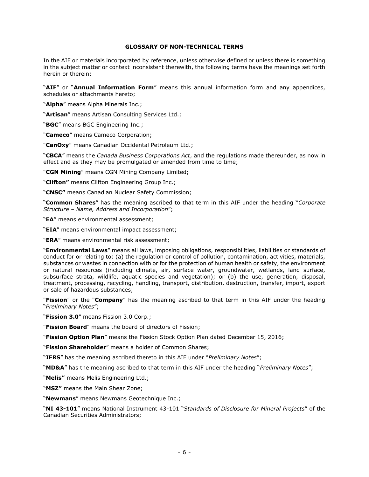#### **GLOSSARY OF NON-TECHNICAL TERMS**

<span id="page-6-0"></span>In the AIF or materials incorporated by reference, unless otherwise defined or unless there is something in the subject matter or context inconsistent therewith, the following terms have the meanings set forth herein or therein:

"**AIF**" or "**Annual Information Form**" means this annual information form and any appendices, schedules or attachments hereto;

"**Alpha**" means Alpha Minerals Inc.;

"**Artisan**" means Artisan Consulting Services Ltd.;

"**BGC**" means BGC Engineering Inc.;

"**Cameco**" means Cameco Corporation;

"**CanOxy**" means Canadian Occidental Petroleum Ltd.;

"**CBCA**" means the *Canada Business Corporations Act*, and the regulations made thereunder, as now in effect and as they may be promulgated or amended from time to time;

"**CGN Mining**" means CGN Mining Company Limited;

"**Clifton"** means Clifton Engineering Group Inc.;

"**CNSC"** means Canadian Nuclear Safety Commission;

"**Common Shares**" has the meaning ascribed to that term in this AIF under the heading "*Corporate Structure – Name, Address and Incorporation*";

"**EA**" means environmental assessment;

"**EIA**" means environmental impact assessment;

"**ERA**" means environmental risk assessment;

"**Environmental Laws**" means all laws, imposing obligations, responsibilities, liabilities or standards of conduct for or relating to: (a) the regulation or control of pollution, contamination, activities, materials, substances or wastes in connection with or for the protection of human health or safety, the environment or natural resources (including climate, air, surface water, groundwater, wetlands, land surface, subsurface strata, wildlife, aquatic species and vegetation); or (b) the use, generation, disposal, treatment, processing, recycling, handling, transport, distribution, destruction, transfer, import, export or sale of hazardous substances;

"**Fission**" or the "**Company**" has the meaning ascribed to that term in this AIF under the heading "*Preliminary Notes*";

"**Fission 3.0**" means Fission 3.0 Corp.;

"**Fission Board**" means the board of directors of Fission;

"**Fission Option Plan**" means the Fission Stock Option Plan dated December 15, 2016;

"**Fission Shareholder**" means a holder of Common Shares;

"**IFRS**" has the meaning ascribed thereto in this AIF under "*Preliminary Notes*";

"**MD&A**" has the meaning ascribed to that term in this AIF under the heading "*Preliminary Notes*";

"**Melis"** means Melis Engineering Ltd.;

"**MSZ"** means the Main Shear Zone;

"**Newmans**" means Newmans Geotechnique Inc.;

"**NI 43-101**" means National Instrument 43-101 "*Standards of Disclosure for Mineral Projects*" of the Canadian Securities Administrators;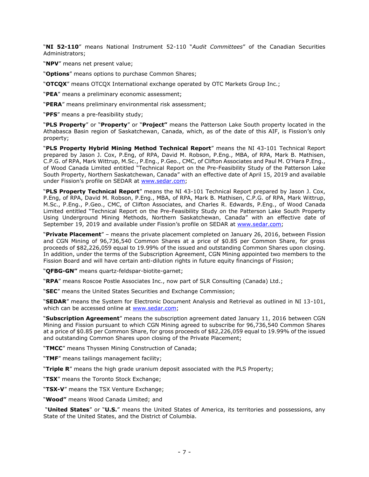"**NI 52-110**" means National Instrument 52-110 "*Audit Committees*" of the Canadian Securities Administrators;

"**NPV**" means net present value;

"**Options**" means options to purchase Common Shares;

"**OTCQX**" means OTCQX International exchange operated by OTC Markets Group Inc.;

"**PEA**" means a preliminary economic assessment;

"**PERA**" means preliminary environmental risk assessment;

"**PFS**" means a pre-feasibility study;

"**PLS Property**" or "**Property**" or "**Project"** means the Patterson Lake South property located in the Athabasca Basin region of Saskatchewan, Canada, which, as of the date of this AIF, is Fission's only property;

"**PLS Property Hybrid Mining Method Technical Report**" means the NI 43-101 Technical Report prepared by Jason J. Cox, P.Eng, of RPA, David M. Robson, P.Eng., MBA, of RPA, Mark B. Mathisen, C.P.G. of RPA, Mark Wittrup, M.Sc., P.Eng., P.Geo., CMC, of Clifton Associates and Paul M. O'Hara P.Eng., of Wood Canada Limited entitled "Technical Report on the Pre-Feasibility Study of the Patterson Lake South Property, Northern Saskatchewan, Canada" with an effective date of April 15, 2019 and available under Fission's profile on SEDAR at [www.sedar.com;](http://www.sedar.com/)

"**PLS Property Technical Report**" means the NI 43-101 Technical Report prepared by Jason J. Cox, P.Eng, of RPA, David M. Robson, P.Eng., MBA, of RPA, Mark B. Mathisen, C.P.G. of RPA, Mark Wittrup, M.Sc., P.Eng., P.Geo., CMC, of Clifton Associates, and Charles R. Edwards, P.Eng., of Wood Canada Limited entitled "Technical Report on the Pre-Feasibility Study on the Patterson Lake South Property Using Underground Mining Methods, Northern Saskatchewan, Canada" with an effective date of September 19, 2019 and available under Fission's profile on SEDAR at [www.sedar.com;](http://www.sedar.com/)

"**Private Placement**" – means the private placement completed on January 26, 2016, between Fission and CGN Mining of 96,736,540 Common Shares at a price of \$0.85 per Common Share, for gross proceeds of \$82,226,059 equal to 19.99% of the issued and outstanding Common Shares upon closing. In addition, under the terms of the Subscription Agreement, CGN Mining appointed two members to the Fission Board and will have certain anti-dilution rights in future equity financings of Fission;

"**QFBG-GN"** means quartz-feldspar-biotite-garnet;

"**RPA**" means Roscoe Postle Associates Inc., now part of SLR Consulting (Canada) Ltd.;

"**SEC**" means the United States Securities and Exchange Commission;

"**SEDAR**" means the System for Electronic Document Analysis and Retrieval as outlined in NI 13-101, which can be accessed online at [www.sedar.com;](http://www.sedar.com/)

"**Subscription Agreement**" means the subscription agreement dated January 11, 2016 between CGN Mining and Fission pursuant to which CGN Mining agreed to subscribe for 96,736,540 Common Shares at a price of \$0.85 per Common Share, for gross proceeds of \$82,226,059 equal to 19.99% of the issued and outstanding Common Shares upon closing of the Private Placement;

"**TMCC**" means Thyssen Mining Construction of Canada;

"**TMF**" means tailings management facility;

"**Triple R**" means the high grade uranium deposit associated with the PLS Property;

"**TSX**" means the Toronto Stock Exchange;

"**TSX-V**" means the TSX Venture Exchange;

"**Wood"** means Wood Canada Limited; and

"**United States**" or "**U.S.**" means the United States of America, its territories and possessions, any State of the United States, and the District of Columbia.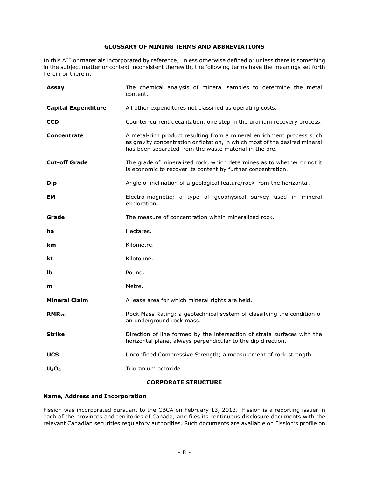# **GLOSSARY OF MINING TERMS AND ABBREVIATIONS**

<span id="page-8-0"></span>In this AIF or materials incorporated by reference, unless otherwise defined or unless there is something in the subject matter or context inconsistent therewith, the following terms have the meanings set forth herein or therein:

| Assay                      | The chemical analysis of mineral samples to determine the metal<br>content.                                                                                                                                    |
|----------------------------|----------------------------------------------------------------------------------------------------------------------------------------------------------------------------------------------------------------|
| <b>Capital Expenditure</b> | All other expenditures not classified as operating costs.                                                                                                                                                      |
| <b>CCD</b>                 | Counter-current decantation, one step in the uranium recovery process.                                                                                                                                         |
| <b>Concentrate</b>         | A metal-rich product resulting from a mineral enrichment process such<br>as gravity concentration or flotation, in which most of the desired mineral<br>has been separated from the waste material in the ore. |
| <b>Cut-off Grade</b>       | The grade of mineralized rock, which determines as to whether or not it<br>is economic to recover its content by further concentration.                                                                        |
| <b>Dip</b>                 | Angle of inclination of a geological feature/rock from the horizontal.                                                                                                                                         |
| EМ                         | Electro-magnetic; a type of geophysical survey used in mineral<br>exploration.                                                                                                                                 |
| Grade                      | The measure of concentration within mineralized rock.                                                                                                                                                          |
| ha                         | Hectares.                                                                                                                                                                                                      |
| km                         | Kilometre.                                                                                                                                                                                                     |
| kt                         | Kilotonne.                                                                                                                                                                                                     |
| Ib                         | Pound.                                                                                                                                                                                                         |
| m                          | Metre.                                                                                                                                                                                                         |
| <b>Mineral Claim</b>       | A lease area for which mineral rights are held.                                                                                                                                                                |
| $RMR_{76}$                 | Rock Mass Rating; a geotechnical system of classifying the condition of<br>an underground rock mass.                                                                                                           |
| <b>Strike</b>              | Direction of line formed by the intersection of strata surfaces with the<br>horizontal plane, always perpendicular to the dip direction.                                                                       |
| <b>UCS</b>                 | Unconfined Compressive Strength; a measurement of rock strength.                                                                                                                                               |
| $U_3O_8$                   | Triuranium octoxide.                                                                                                                                                                                           |

# **CORPORATE STRUCTURE**

# <span id="page-8-2"></span><span id="page-8-1"></span>**Name, Address and Incorporation**

Fission was incorporated pursuant to the CBCA on February 13, 2013. Fission is a reporting issuer in each of the provinces and territories of Canada, and files its continuous disclosure documents with the relevant Canadian securities regulatory authorities. Such documents are available on Fission's profile on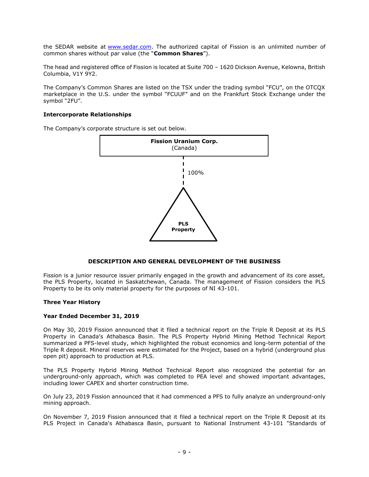the SEDAR website at [www.sedar.com.](http://www.sedar.com/) The authorized capital of Fission is an unlimited number of common shares without par value (the "**Common Shares**").

The head and registered office of Fission is located at Suite 700 – 1620 Dickson Avenue, Kelowna, British Columbia, V1Y 9Y2.

The Company's Common Shares are listed on the TSX under the trading symbol "FCU", on the OTCQX marketplace in the U.S. under the symbol "FCUUF" and on the Frankfurt Stock Exchange under the symbol "2FU".

#### <span id="page-9-0"></span>**Intercorporate Relationships**

The Company's corporate structure is set out below.



# **DESCRIPTION AND GENERAL DEVELOPMENT OF THE BUSINESS**

<span id="page-9-1"></span>Fission is a junior resource issuer primarily engaged in the growth and advancement of its core asset, the PLS Property, located in Saskatchewan, Canada. The management of Fission considers the PLS Property to be its only material property for the purposes of NI 43-101.

#### <span id="page-9-2"></span>**Three Year History**

#### <span id="page-9-3"></span>**Year Ended December 31, 2019**

On May 30, 2019 Fission announced that it filed a technical report on the Triple R Deposit at its PLS Property in Canada's Athabasca Basin. The PLS Property Hybrid Mining Method Technical Report summarized a PFS-level study, which highlighted the robust economics and long-term potential of the Triple R deposit. Mineral reserves were estimated for the Project, based on a hybrid (underground plus open pit) approach to production at PLS.

The PLS Property Hybrid Mining Method Technical Report also recognized the potential for an underground-only approach, which was completed to PEA level and showed important advantages, including lower CAPEX and shorter construction time.

On July 23, 2019 Fission announced that it had commenced a PFS to fully analyze an underground-only mining approach.

On November 7, 2019 Fission announced that it filed a technical report on the Triple R Deposit at its PLS Project in Canada's Athabasca Basin, pursuant to National Instrument 43-101 "Standards of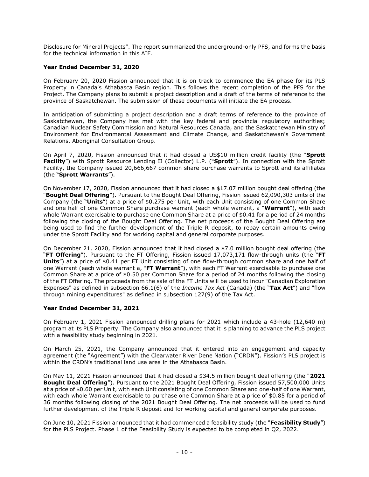Disclosure for Mineral Projects". The report summarized the underground-only PFS, and forms the basis for the technical information in this AIF.

# <span id="page-10-0"></span>**Year Ended December 31, 2020**

On February 20, 2020 Fission announced that it is on track to commence the EA phase for its PLS Property in Canada's Athabasca Basin region. This follows the recent completion of the PFS for the Project. The Company plans to submit a project description and a draft of the terms of reference to the province of Saskatchewan. The submission of these documents will initiate the EA process.

In anticipation of submitting a project description and a draft terms of reference to the province of Saskatchewan, the Company has met with the key federal and provincial regulatory authorities; Canadian Nuclear Safety Commission and Natural Resources Canada, and the Saskatchewan Ministry of Environment for Environmental Assessment and Climate Change, and Saskatchewan's Government Relations, Aboriginal Consultation Group.

On April 7, 2020, Fission announced that it had closed a US\$10 million credit facility (the "**Sprott Facility**") with Sprott Resource Lending II (Collector) L.P. ("**Sprott**"). In connection with the Sprott Facility, the Company issued 20,666,667 common share purchase warrants to Sprott and its affiliates (the "**Sprott Warrants**").

On November 17, 2020, Fission announced that it had closed a \$17.07 million bought deal offering (the "**Bought Deal Offering**"). Pursuant to the Bought Deal Offering, Fission issued 62,090,303 units of the Company (the "**Units**") at a price of \$0.275 per Unit, with each Unit consisting of one Common Share and one half of one Common Share purchase warrant (each whole warrant, a "**Warrant**"), with each whole Warrant exercisable to purchase one Common Share at a price of \$0.41 for a period of 24 months following the closing of the Bought Deal Offering. The net proceeds of the Bought Deal Offering are being used to find the further development of the Triple R deposit, to repay certain amounts owing under the Sprott Facility and for working capital and general corporate purposes.

On December 21, 2020, Fission announced that it had closed a \$7.0 million bought deal offering (the "**FT Offering**"). Pursuant to the FT Offering, Fission issued 17,073,171 flow-through units (the "**FT Units**") at a price of \$0.41 per FT Unit consisting of one flow-through common share and one half of one Warrant (each whole warrant a, "**FT Warrant**"), with each FT Warrant exercisable to purchase one Common Share at a price of \$0.50 per Common Share for a period of 24 months following the closing of the FT Offering. The proceeds from the sale of the FT Units will be used to incur "Canadian Exploration Expenses" as defined in subsection 66.1(6) of the *Income Tax Act* (Canada) (the "**Tax Act**") and "flow through mining expenditures" as defined in subsection 127(9) of the Tax Act.

# <span id="page-10-1"></span>**Year Ended December 31, 2021**

On February 1, 2021 Fission announced drilling plans for 2021 which include a 43-hole (12,640 m) program at its PLS Property. The Company also announced that it is planning to advance the PLS project with a feasibility study beginning in 2021.

On March 25, 2021, the Company announced that it entered into an engagement and capacity agreement (the "Agreement") with the Clearwater River Dene Nation ("CRDN"). Fission's PLS project is within the CRDN's traditional land use area in the Athabasca Basin.

On May 11, 2021 Fission announced that it had closed a \$34.5 million bought deal offering (the "**2021 Bought Deal Offering**"). Pursuant to the 2021 Bought Deal Offering, Fission issued 57,500,000 Units at a price of \$0.60 per Unit, with each Unit consisting of one Common Share and one-half of one Warrant, with each whole Warrant exercisable to purchase one Common Share at a price of \$0.85 for a period of 36 months following closing of the 2021 Bought Deal Offering. The net proceeds will be used to fund further development of the Triple R deposit and for working capital and general corporate purposes.

On June 10, 2021 Fission announced that it had commenced a feasibility study (the "**Feasibility Study**") for the PLS Project. Phase 1 of the Feasibility Study is expected to be completed in Q2, 2022.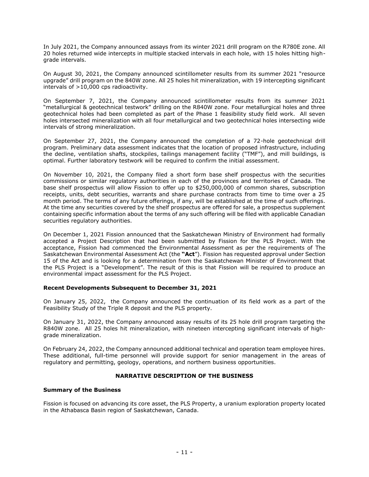In July 2021, the Company announced assays from its winter 2021 drill program on the R780E zone. All 20 holes returned wide intercepts in multiple stacked intervals in each hole, with 15 holes hitting highgrade intervals.

On August 30, 2021, the Company announced scintillometer results from its summer 2021 "resource upgrade" drill program on the 840W zone. All 25 holes hit mineralization, with 19 intercepting significant intervals of >10,000 cps radioactivity.

On September 7, 2021, the Company announced scintillometer results from its summer 2021 "metallurgical & geotechnical testwork" drilling on the R840W zone. Four metallurgical holes and three geotechnical holes had been completed as part of the Phase 1 feasibility study field work. All seven holes intersected mineralization with all four metallurgical and two geotechnical holes intersecting wide intervals of strong mineralization.

On September 27, 2021, the Company announced the completion of a 72-hole geotechnical drill program. Preliminary data assessment indicates that the location of proposed infrastructure, including the decline, ventilation shafts, stockpiles, tailings management facility ("TMF"), and mill buildings, is optimal. Further laboratory testwork will be required to confirm the initial assessment.

On November 10, 2021, the Company filed a short form base shelf prospectus with the securities commissions or similar regulatory authorities in each of the provinces and territories of Canada. The base shelf prospectus will allow Fission to offer up to \$250,000,000 of common shares, subscription receipts, units, debt securities, warrants and share purchase contracts from time to time over a 25 month period. The terms of any future offerings, if any, will be established at the time of such offerings. At the time any securities covered by the shelf prospectus are offered for sale, a prospectus supplement containing specific information about the terms of any such offering will be filed with applicable Canadian securities regulatory authorities.

On December 1, 2021 Fission announced that the Saskatchewan Ministry of Environment had formally accepted a Project Description that had been submitted by Fission for the PLS Project. With the acceptance, Fission had commenced the Environmental Assessment as per the requirements of The Saskatchewan Environmental Assessment Act (the **"Act**"). Fission has requested approval under Section 15 of the Act and is looking for a determination from the Saskatchewan Minister of Environment that the PLS Project is a "Development". The result of this is that Fission will be required to produce an environmental impact assessment for the PLS Project.

# <span id="page-11-0"></span>**Recent Developments Subsequent to December 31, 2021**

On January 25, 2022, the Company announced the continuation of its field work as a part of the Feasibility Study of the Triple R deposit and the PLS property.

On January 31, 2022, the Company announced assay results of its 25 hole drill program targeting the R840W zone. All 25 holes hit mineralization, with nineteen intercepting significant intervals of highgrade mineralization.

On February 24, 2022, the Company announced additional technical and operation team employee hires. These additional, full-time personnel will provide support for senior management in the areas of regulatory and permitting, geology, operations, and northern business opportunities.

# **NARRATIVE DESCRIPTION OF THE BUSINESS**

# <span id="page-11-2"></span><span id="page-11-1"></span>**Summary of the Business**

Fission is focused on advancing its core asset, the PLS Property, a uranium exploration property located in the Athabasca Basin region of Saskatchewan, Canada.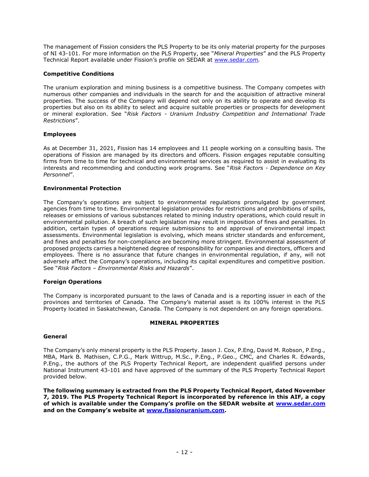The management of Fission considers the PLS Property to be its only material property for the purposes of NI 43-101. For more information on the PLS Property, see "*Mineral Properties*" and the PLS Property Technical Report available under Fission's profile on SEDAR at [www.sedar.com](http://www.sedar.com/)*.*

# <span id="page-12-0"></span>**Competitive Conditions**

The uranium exploration and mining business is a competitive business. The Company competes with numerous other companies and individuals in the search for and the acquisition of attractive mineral properties. The success of the Company will depend not only on its ability to operate and develop its properties but also on its ability to select and acquire suitable properties or prospects for development or mineral exploration. See "*Risk Factors - Uranium Industry Competition and International Trade Restrictions*".

# <span id="page-12-1"></span>**Employees**

As at December 31, 2021, Fission has 14 employees and 11 people working on a consulting basis. The operations of Fission are managed by its directors and officers. Fission engages reputable consulting firms from time to time for technical and environmental services as required to assist in evaluating its interests and recommending and conducting work programs. See "*Risk Factors - Dependence on Key Personnel*".

# <span id="page-12-2"></span>**Environmental Protection**

The Company's operations are subject to environmental regulations promulgated by government agencies from time to time. Environmental legislation provides for restrictions and prohibitions of spills, releases or emissions of various substances related to mining industry operations, which could result in environmental pollution. A breach of such legislation may result in imposition of fines and penalties. In addition, certain types of operations require submissions to and approval of environmental impact assessments. Environmental legislation is evolving, which means stricter standards and enforcement, and fines and penalties for non-compliance are becoming more stringent. Environmental assessment of proposed projects carries a heightened degree of responsibility for companies and directors, officers and employees. There is no assurance that future changes in environmental regulation, if any, will not adversely affect the Company's operations, including its capital expenditures and competitive position. See "*Risk Factors – Environmental Risks and Hazards*".

# <span id="page-12-3"></span>**Foreign Operations**

The Company is incorporated pursuant to the laws of Canada and is a reporting issuer in each of the provinces and territories of Canada. The Company's material asset is its 100% interest in the PLS Property located in Saskatchewan, Canada. The Company is not dependent on any foreign operations.

# **MINERAL PROPERTIES**

#### <span id="page-12-5"></span><span id="page-12-4"></span>**General**

The Company's only mineral property is the PLS Property. Jason J. Cox, P.Eng, David M. Robson, P.Eng., MBA, Mark B. Mathisen, C.P.G., Mark Wittrup, M.Sc., P.Eng., P.Geo., CMC, and Charles R. Edwards, P.Eng., the authors of the PLS Property Technical Report, are independent qualified persons under National Instrument 43-101 and have approved of the summary of the PLS Property Technical Report provided below.

**The following summary is extracted from the PLS Property Technical Report, dated November 7, 2019. The PLS Property Technical Report is incorporated by reference in this AIF, a copy of which is available under the Company's profile on the SEDAR website at [www.sedar.com](http://www.sedar.com/) and on the Company's website at [www.fissionuranium.com.](http://www.fissionuranium.com/)**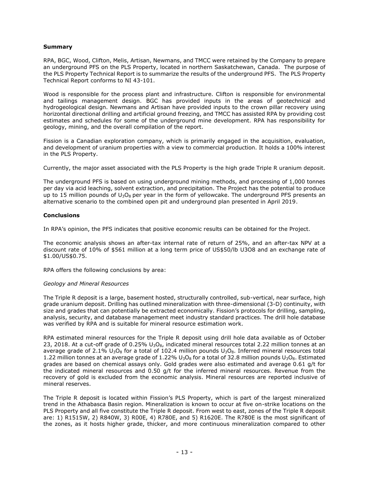## <span id="page-13-0"></span>**Summary**

RPA, BGC, Wood, Clifton, Melis, Artisan, Newmans, and TMCC were retained by the Company to prepare an underground PFS on the PLS Property, located in northern Saskatchewan, Canada. The purpose of the PLS Property Technical Report is to summarize the results of the underground PFS. The PLS Property Technical Report conforms to NI 43-101.

Wood is responsible for the process plant and infrastructure. Clifton is responsible for environmental and tailings management design. BGC has provided inputs in the areas of geotechnical and hydrogeological design. Newmans and Artisan have provided inputs to the crown pillar recovery using horizontal directional drilling and artificial ground freezing, and TMCC has assisted RPA by providing cost estimates and schedules for some of the underground mine development. RPA has responsibility for geology, mining, and the overall compilation of the report.

Fission is a Canadian exploration company, which is primarily engaged in the acquisition, evaluation, and development of uranium properties with a view to commercial production. It holds a 100% interest in the PLS Property.

Currently, the major asset associated with the PLS Property is the high grade Triple R uranium deposit.

The underground PFS is based on using underground mining methods, and processing of 1,000 tonnes per day via acid leaching, solvent extraction, and precipitation. The Project has the potential to produce up to 15 million pounds of  $U_3O_8$  per year in the form of yellowcake. The underground PFS presents an alternative scenario to the combined open pit and underground plan presented in April 2019.

#### <span id="page-13-1"></span>**Conclusions**

In RPA's opinion, the PFS indicates that positive economic results can be obtained for the Project.

The economic analysis shows an after-tax internal rate of return of 25%, and an after-tax NPV at a discount rate of 10% of \$561 million at a long term price of US\$50/lb U3O8 and an exchange rate of \$1.00/US\$0.75.

RPA offers the following conclusions by area:

#### *Geology and Mineral Resources*

The Triple R deposit is a large, basement hosted, structurally controlled, sub-vertical, near surface, high grade uranium deposit. Drilling has outlined mineralization with three-dimensional (3-D) continuity, with size and grades that can potentially be extracted economically. Fission's protocols for drilling, sampling, analysis, security, and database management meet industry standard practices. The drill hole database was verified by RPA and is suitable for mineral resource estimation work.

RPA estimated mineral resources for the Triple R deposit using drill hole data available as of October 23, 2018. At a cut-off grade of 0.25%  $U_3O_8$ , indicated mineral resources total 2.22 million tonnes at an average grade of 2.1%  $U_3O_8$  for a total of 102.4 million pounds  $U_3O_8$ . Inferred mineral resources total 1.22 million tonnes at an average grade of 1.22%  $U_3O_8$  for a total of 32.8 million pounds  $U_3O_8$ . Estimated grades are based on chemical assays only. Gold grades were also estimated and average 0.61 g/t for the indicated mineral resources and 0.50 g/t for the inferred mineral resources. Revenue from the recovery of gold is excluded from the economic analysis. Mineral resources are reported inclusive of mineral reserves.

The Triple R deposit is located within Fission's PLS Property, which is part of the largest mineralized trend in the Athabasca Basin region. Mineralization is known to occur at five on-strike locations on the PLS Property and all five constitute the Triple R deposit. From west to east, zones of the Triple R deposit are: 1) R1515W, 2) R840W, 3) R00E, 4) R780E, and 5) R1620E. The R780E is the most significant of the zones, as it hosts higher grade, thicker, and more continuous mineralization compared to other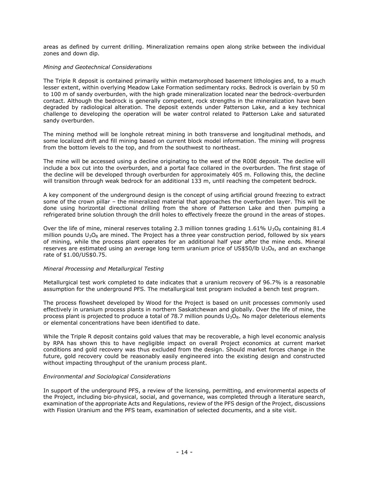areas as defined by current drilling. Mineralization remains open along strike between the individual zones and down dip.

#### *Mining and Geotechnical Considerations*

The Triple R deposit is contained primarily within metamorphosed basement lithologies and, to a much lesser extent, within overlying Meadow Lake Formation sedimentary rocks. Bedrock is overlain by 50 m to 100 m of sandy overburden, with the high grade mineralization located near the bedrock-overburden contact. Although the bedrock is generally competent, rock strengths in the mineralization have been degraded by radiological alteration. The deposit extends under Patterson Lake, and a key technical challenge to developing the operation will be water control related to Patterson Lake and saturated sandy overburden.

The mining method will be longhole retreat mining in both transverse and longitudinal methods, and some localized drift and fill mining based on current block model information. The mining will progress from the bottom levels to the top, and from the southwest to northeast.

The mine will be accessed using a decline originating to the west of the R00E deposit. The decline will include a box cut into the overburden, and a portal face collared in the overburden. The first stage of the decline will be developed through overburden for approximately 405 m. Following this, the decline will transition through weak bedrock for an additional 133 m, until reaching the competent bedrock.

A key component of the underground design is the concept of using artificial ground freezing to extract some of the crown pillar – the mineralized material that approaches the overburden layer. This will be done using horizontal directional drilling from the shore of Patterson Lake and then pumping a refrigerated brine solution through the drill holes to effectively freeze the ground in the areas of stopes.

Over the life of mine, mineral reserves totaling 2.3 million tonnes grading  $1.61\%$  U<sub>3</sub>O<sub>8</sub> containing 81.4 million pounds  $U_3O_8$  are mined. The Project has a three year construction period, followed by six years of mining, while the process plant operates for an additional half year after the mine ends. Mineral reserves are estimated using an average long term uranium price of US\$50/lb  $U_3O_8$ , and an exchange rate of \$1.00/US\$0.75.

# *Mineral Processing and Metallurgical Testing*

Metallurgical test work completed to date indicates that a uranium recovery of 96.7% is a reasonable assumption for the underground PFS. The metallurgical test program included a bench test program.

The process flowsheet developed by Wood for the Project is based on unit processes commonly used effectively in uranium process plants in northern Saskatchewan and globally. Over the life of mine, the process plant is projected to produce a total of 78.7 million pounds  $U_3O_8$ . No major deleterious elements or elemental concentrations have been identified to date.

While the Triple R deposit contains gold values that may be recoverable, a high level economic analysis by RPA has shown this to have negligible impact on overall Project economics at current market conditions and gold recovery was thus excluded from the design. Should market forces change in the future, gold recovery could be reasonably easily engineered into the existing design and constructed without impacting throughput of the uranium process plant.

# *Environmental and Sociological Considerations*

In support of the underground PFS, a review of the licensing, permitting, and environmental aspects of the Project, including bio-physical, social, and governance, was completed through a literature search, examination of the appropriate Acts and Regulations, review of the PFS design of the Project, discussions with Fission Uranium and the PFS team, examination of selected documents, and a site visit.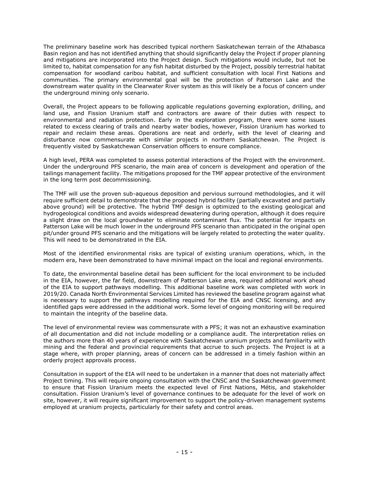The preliminary baseline work has described typical northern Saskatchewan terrain of the Athabasca Basin region and has not identified anything that should significantly delay the Project if proper planning and mitigations are incorporated into the Project design. Such mitigations would include, but not be limited to, habitat compensation for any fish habitat disturbed by the Project, possibly terrestrial habitat compensation for woodland caribou habitat, and sufficient consultation with local First Nations and communities. The primary environmental goal will be the protection of Patterson Lake and the downstream water quality in the Clearwater River system as this will likely be a focus of concern under the underground mining only scenario.

Overall, the Project appears to be following applicable regulations governing exploration, drilling, and land use, and Fission Uranium staff and contractors are aware of their duties with respect to environmental and radiation protection. Early in the exploration program, there were some issues related to excess clearing of trails and nearby water bodies, however, Fission Uranium has worked to repair and reclaim these areas. Operations are neat and orderly, with the level of clearing and disturbance now commensurate with similar projects in northern Saskatchewan. The Project is frequently visited by Saskatchewan Conservation officers to ensure compliance.

A high level, PERA was completed to assess potential interactions of the Project with the environment. Under the underground PFS scenario, the main area of concern is development and operation of the tailings management facility. The mitigations proposed for the TMF appear protective of the environment in the long term post decommissioning.

The TMF will use the proven sub-aqueous deposition and pervious surround methodologies, and it will require sufficient detail to demonstrate that the proposed hybrid facility (partially excavated and partially above ground) will be protective. The hybrid TMF design is optimized to the existing geological and hydrogeological conditions and avoids widespread dewatering during operation, although it does require a slight draw on the local groundwater to eliminate contaminant flux. The potential for impacts on Patterson Lake will be much lower in the underground PFS scenario than anticipated in the original open pit/under ground PFS scenario and the mitigations will be largely related to protecting the water quality. This will need to be demonstrated in the EIA.

Most of the identified environmental risks are typical of existing uranium operations, which, in the modern era, have been demonstrated to have minimal impact on the local and regional environments.

To date, the environmental baseline detail has been sufficient for the local environment to be included in the EIA, however, the far field, downstream of Patterson Lake area, required additional work ahead of the EIA to support pathways modelling. This additional baseline work was completed with work in 2019/20. Canada North Environmental Services Limited has reviewed the baseline program against what is necessary to support the pathways modelling required for the EIA and CNSC licensing, and any identified gaps were addressed in the additional work. Some level of ongoing monitoring will be required to maintain the integrity of the baseline data.

The level of environmental review was commensurate with a PFS; it was not an exhaustive examination of all documentation and did not include modelling or a compliance audit. The interpretation relies on the authors more than 40 years of experience with Saskatchewan uranium projects and familiarity with mining and the federal and provincial requirements that accrue to such projects. The Project is at a stage where, with proper planning, areas of concern can be addressed in a timely fashion within an orderly project approvals process.

Consultation in support of the EIA will need to be undertaken in a manner that does not materially affect Project timing. This will require ongoing consultation with the CNSC and the Saskatchewan government to ensure that Fission Uranium meets the expected level of First Nations, Métis, and stakeholder consultation. Fission Uranium's level of governance continues to be adequate for the level of work on site, however, it will require significant improvement to support the policy-driven management systems employed at uranium projects, particularly for their safety and control areas.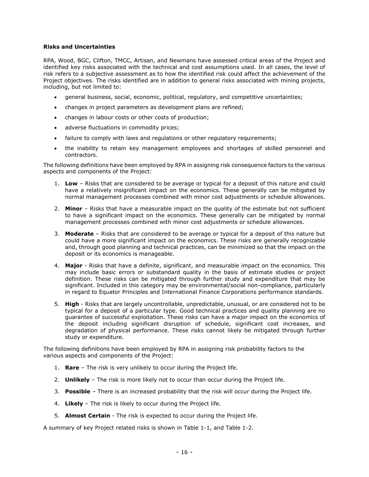#### <span id="page-16-0"></span>**Risks and Uncertainties**

RPA, Wood, BGC, Clifton, TMCC, Artisan, and Newmans have assessed critical areas of the Project and identified key risks associated with the technical and cost assumptions used. In all cases, the level of risk refers to a subjective assessment as to how the identified risk could affect the achievement of the Project objectives. The risks identified are in addition to general risks associated with mining projects, including, but not limited to:

- general business, social, economic, political, regulatory, and competitive uncertainties;
- changes in project parameters as development plans are refined;
- changes in labour costs or other costs of production;
- adverse fluctuations in commodity prices;
- failure to comply with laws and regulations or other regulatory requirements;
- the inability to retain key management employees and shortages of skilled personnel and contractors.

The following definitions have been employed by RPA in assigning risk consequence factors to the various aspects and components of the Project:

- 1. **Low** Risks that are considered to be average or typical for a deposit of this nature and could have a relatively insignificant impact on the economics. These generally can be mitigated by normal management processes combined with minor cost adjustments or schedule allowances.
- 2. **Minor** Risks that have a measurable impact on the quality of the estimate but not sufficient to have a significant impact on the economics. These generally can be mitigated by normal management processes combined with minor cost adjustments or schedule allowances.
- 3. **Moderate** Risks that are considered to be average or typical for a deposit of this nature but could have a more significant impact on the economics. These risks are generally recognizable and, through good planning and technical practices, can be minimized so that the impact on the deposit or its economics is manageable.
- 4. **Major**  Risks that have a definite, significant, and measurable impact on the economics. This may include basic errors or substandard quality in the basis of estimate studies or project definition. These risks can be mitigated through further study and expenditure that may be significant. Included in this category may be environmental/social non-compliance, particularly in regard to Equator Principles and International Finance Corporations performance standards.
- 5. **High** Risks that are largely uncontrollable, unpredictable, unusual, or are considered not to be typical for a deposit of a particular type. Good technical practices and quality planning are no guarantee of successful exploitation. These risks can have a major impact on the economics of the deposit including significant disruption of schedule, significant cost increases, and degradation of physical performance. These risks cannot likely be mitigated through further study or expenditure.

The following definitions have been employed by RPA in assigning risk probability factors to the various aspects and components of the Project:

- 1. **Rare** The risk is very unlikely to occur during the Project life.
- 2. **Unlikely**  The risk is more likely not to occur than occur during the Project life.
- 3. **Possible** There is an increased probability that the risk will occur during the Project life.
- 4. **Likely** The risk is likely to occur during the Project life.
- 5. **Almost Certain**  The risk is expected to occur during the Project life.

A summary of key Project related risks is shown in Table 1-1, and Table 1-2.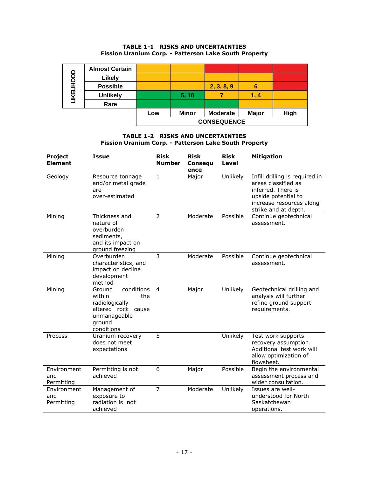# **TABLE 1-1 RISKS AND UNCERTAINTIES Fission Uranium Corp. - Patterson Lake South Property**

|                   | <b>Almost Certain</b> |                    |              |                 |              |      |
|-------------------|-----------------------|--------------------|--------------|-----------------|--------------|------|
| <b>LIKELIHOOD</b> | <b>Likely</b>         |                    |              |                 |              |      |
|                   | <b>Possible</b>       |                    |              | 2, 3, 8, 9      | 6            |      |
|                   | <b>Unlikely</b>       |                    | 5, 10        |                 | 1.4          |      |
|                   | Rare                  |                    |              |                 |              |      |
|                   |                       | Low                | <b>Minor</b> | <b>Moderate</b> | <b>Major</b> | High |
|                   |                       | <b>CONSEQUENCE</b> |              |                 |              |      |

# **TABLE 1-2 RISKS AND UNCERTAINTIES Fission Uranium Corp. - Patterson Lake South Property**

| <b>Project</b><br><b>Element</b> | <b>Issue</b>                                                                                                          | <b>Risk</b><br><b>Number</b> | <b>Risk</b><br>Consequ<br>ence | <b>Risk</b><br>Level | <b>Mitigation</b>                                                                                                                                      |
|----------------------------------|-----------------------------------------------------------------------------------------------------------------------|------------------------------|--------------------------------|----------------------|--------------------------------------------------------------------------------------------------------------------------------------------------------|
| Geology                          | Resource tonnage<br>and/or metal grade<br>are<br>over-estimated                                                       | $\mathbf{1}$                 | Major                          | Unlikely             | Infill drilling is required in<br>areas classified as<br>inferred. There is<br>upside potential to<br>increase resources along<br>strike and at depth. |
| Mining                           | Thickness and<br>nature of<br>overburden<br>sediments,<br>and its impact on<br>ground freezing                        | $\overline{2}$               | Moderate                       | Possible             | Continue geotechnical<br>assessment.                                                                                                                   |
| Mining                           | Overburden<br>characteristics, and<br>impact on decline<br>development<br>method                                      | 3                            | Moderate                       | Possible             | Continue geotechnical<br>assessment.                                                                                                                   |
| Mining                           | Ground<br>conditions<br>within<br>the<br>radiologically<br>altered rock cause<br>unmanageable<br>ground<br>conditions | $\overline{4}$               | Major                          | Unlikely             | Geotechnical drilling and<br>analysis will further<br>refine ground support<br>requirements.                                                           |
| Process                          | Uranium recovery<br>does not meet<br>expectations                                                                     | 5                            |                                | Unlikely             | Test work supports<br>recovery assumption.<br>Additional test work will<br>allow optimization of<br>flowsheet.                                         |
| Environment<br>and<br>Permitting | Permitting is not<br>achieved                                                                                         | 6                            | Major                          | Possible             | Begin the environmental<br>assessment process and<br>wider consultation.                                                                               |
| Environment<br>and<br>Permitting | Management of<br>exposure to<br>radiation is not<br>achieved                                                          | $\overline{7}$               | Moderate                       | Unlikely             | Issues are well-<br>understood for North<br>Saskatchewan<br>operations.                                                                                |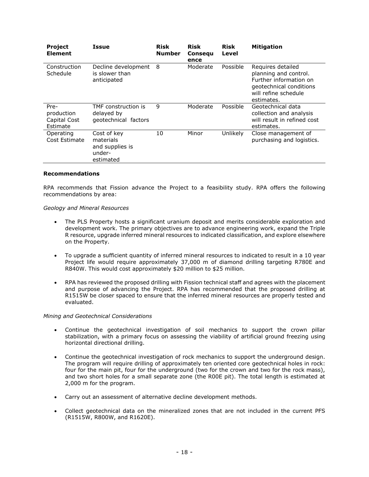| <b>Project</b><br><b>Element</b>               | Issue                                                              | <b>Risk</b><br><b>Number</b> | <b>Risk</b><br><b>Consegu</b><br>ence | <b>Risk</b><br>Level | <b>Mitigation</b>                                                                                                                     |
|------------------------------------------------|--------------------------------------------------------------------|------------------------------|---------------------------------------|----------------------|---------------------------------------------------------------------------------------------------------------------------------------|
| Construction<br>Schedule                       | Decline development<br>is slower than<br>anticipated               | 8                            | Moderate                              | Possible             | Requires detailed<br>planning and control.<br>Further information on<br>geotechnical conditions<br>will refine schedule<br>estimates. |
| Pre-<br>production<br>Capital Cost<br>Estimate | TMF construction is<br>delayed by<br>geotechnical factors          | 9                            | Moderate                              | Possible             | Geotechnical data<br>collection and analysis<br>will result in refined cost<br>estimates.                                             |
| Operating<br>Cost Estimate                     | Cost of key<br>materials<br>and supplies is<br>under-<br>estimated | 10                           | Minor                                 | Unlikely             | Close management of<br>purchasing and logistics.                                                                                      |

#### <span id="page-18-0"></span>**Recommendations**

RPA recommends that Fission advance the Project to a feasibility study. RPA offers the following recommendations by area:

#### *Geology and Mineral Resources*

- The PLS Property hosts a significant uranium deposit and merits considerable exploration and development work. The primary objectives are to advance engineering work, expand the Triple R resource, upgrade inferred mineral resources to indicated classification, and explore elsewhere on the Property.
- To upgrade a sufficient quantity of inferred mineral resources to indicated to result in a 10 year Project life would require approximately 37,000 m of diamond drilling targeting R780E and R840W. This would cost approximately \$20 million to \$25 million.
- RPA has reviewed the proposed drilling with Fission technical staff and agrees with the placement and purpose of advancing the Project. RPA has recommended that the proposed drilling at R1515W be closer spaced to ensure that the inferred mineral resources are properly tested and evaluated.

#### *Mining and Geotechnical Considerations*

- Continue the geotechnical investigation of soil mechanics to support the crown pillar stabilization, with a primary focus on assessing the viability of artificial ground freezing using horizontal directional drilling.
- Continue the geotechnical investigation of rock mechanics to support the underground design. The program will require drilling of approximately ten oriented core geotechnical holes in rock: four for the main pit, four for the underground (two for the crown and two for the rock mass), and two short holes for a small separate zone (the R00E pit). The total length is estimated at 2,000 m for the program.
- Carry out an assessment of alternative decline development methods.
- Collect geotechnical data on the mineralized zones that are not included in the current PFS (R1515W, R800W, and R1620E).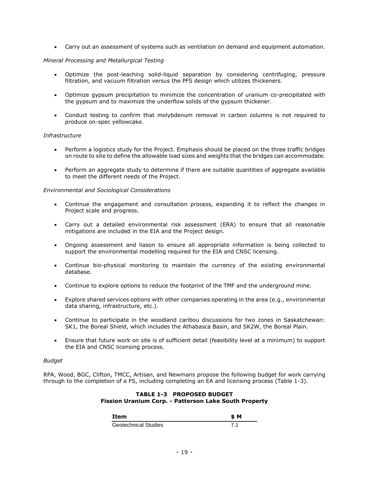• Carry out an assessment of systems such as ventilation on demand and equipment automation.

# *Mineral Processing and Metallurgical Testing*

- Optimize the post-leaching solid-liquid separation by considering centrifuging, pressure filtration, and vacuum filtration versus the PFS design which utilizes thickeners.
- Optimize gypsum precipitation to minimize the concentration of uranium co-precipitated with the gypsum and to maximize the underflow solids of the gypsum thickener.
- Conduct testing to confirm that molybdenum removal in carbon columns is not required to produce on-spec yellowcake.

# *Infrastructure*

- Perform a logistics study for the Project. Emphasis should be placed on the three traffic bridges on route to site to define the allowable load sizes and weights that the bridges can accommodate.
- Perform an aggregate study to determine if there are suitable quantities of aggregate available to meet the different needs of the Project.

# *Environmental and Sociological Considerations*

- Continue the engagement and consultation process, expanding it to reflect the changes in Project scale and progress.
- Carry out a detailed environmental risk assessment (ERA) to ensure that all reasonable mitigations are included in the EIA and the Project design.
- Ongoing assessment and liason to ensure all appropriate information is being collected to support the environmental modelling required for the EIA and CNSC licensing.
- Continue bio-physical monitoring to maintain the currency of the existing environmental database.
- Continue to explore options to reduce the footprint of the TMF and the underground mine.
- Explore shared services options with other companies operating in the area (e.g., environmental data sharing, infrastructure, etc.).
- Continue to participate in the woodland caribou discussions for two zones in Saskatchewan: SK1, the Boreal Shield, which includes the Athabasca Basin, and SK2W, the Boreal Plain.
- Ensure that future work on site is of sufficient detail (feasibility level at a minimum) to support the EIA and CNSC licensing process.

# *Budget*

RPA, Wood, BGC, Clifton, TMCC, Artisan, and Newmans propose the following budget for work carrying through to the completion of a FS, including completing an EA and licensing process (Table 1-3).

# **TABLE 1-3 PROPOSED BUDGET Fission Uranium Corp. - Patterson Lake South Property**

| Item                        | \$M |
|-----------------------------|-----|
| <b>Geotechnical Studies</b> |     |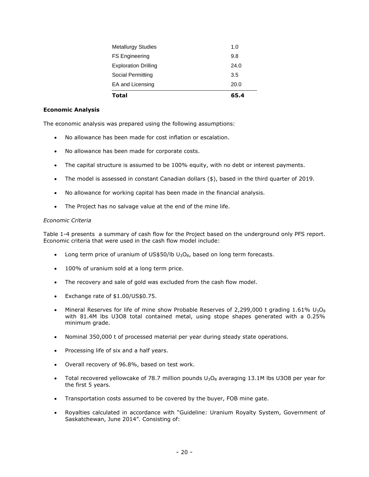| <b>Total</b>                | 65.4 |
|-----------------------------|------|
| EA and Licensing            | 20.0 |
| Social Permitting           | 3.5  |
| <b>Exploration Drilling</b> | 24.0 |
| <b>FS Engineering</b>       | 9.8  |
| <b>Metallurgy Studies</b>   | 1.0  |

# <span id="page-20-0"></span>**Economic Analysis**

The economic analysis was prepared using the following assumptions:

- No allowance has been made for cost inflation or escalation.
- No allowance has been made for corporate costs.
- The capital structure is assumed to be 100% equity, with no debt or interest payments.
- The model is assessed in constant Canadian dollars (\$), based in the third quarter of 2019.
- No allowance for working capital has been made in the financial analysis.
- The Project has no salvage value at the end of the mine life.

#### *Economic Criteria*

Table 1-4 presents a summary of cash flow for the Project based on the underground only PFS report. Economic criteria that were used in the cash flow model include:

- Long term price of uranium of US\$50/lb  $U_3O_8$ , based on long term forecasts.
- 100% of uranium sold at a long term price.
- The recovery and sale of gold was excluded from the cash flow model.
- Exchange rate of \$1.00/US\$0.75.
- Mineral Reserves for life of mine show Probable Reserves of 2,299,000 t grading  $1.61\%$  U<sub>3</sub>O<sub>8</sub> with 81.4M lbs U3O8 total contained metal, using stope shapes generated with a 0.25% minimum grade.
- Nominal 350,000 t of processed material per year during steady state operations.
- Processing life of six and a half years.
- Overall recovery of 96.8%, based on test work.
- Total recovered yellowcake of 78.7 million pounds  $U_3O_8$  averaging 13.1M lbs U3O8 per year for the first 5 years.
- Transportation costs assumed to be covered by the buyer, FOB mine gate.
- Royalties calculated in accordance with "Guideline: Uranium Royalty System, Government of Saskatchewan, June 2014". Consisting of: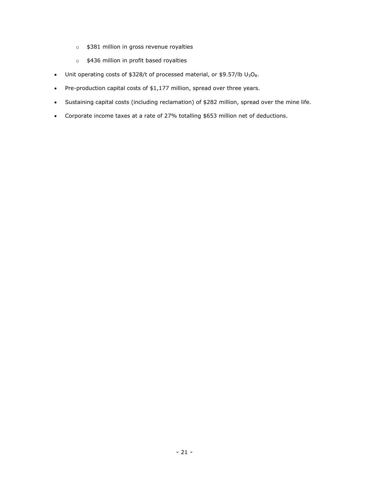- o \$381 million in gross revenue royalties
- o \$436 million in profit based royalties
- Unit operating costs of  $$328/t$  of processed material, or  $$9.57/lb$  U<sub>3</sub>O<sub>8</sub>.
- Pre-production capital costs of \$1,177 million, spread over three years.
- Sustaining capital costs (including reclamation) of \$282 million, spread over the mine life.
- Corporate income taxes at a rate of 27% totalling \$653 million net of deductions.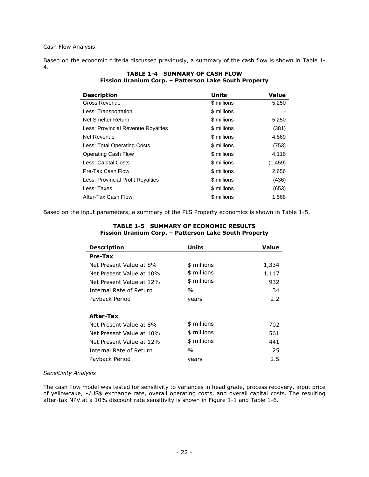Cash Flow Analysis

Based on the economic criteria discussed previously, a summary of the cash flow is shown in Table 1- 4.

| <b>Description</b>                 | Units       | <b>Value</b> |
|------------------------------------|-------------|--------------|
| <b>Gross Revenue</b>               | \$ millions | 5,250        |
| Less: Transportation               | \$ millions |              |
| Net Smelter Return                 | \$ millions | 5,250        |
| Less: Provincial Revenue Royalties | \$ millions | (381)        |
| Net Revenue                        | \$ millions | 4,869        |
| Less: Total Operating Costs        | \$ millions | (753)        |
| <b>Operating Cash Flow</b>         | \$ millions | 4,116        |
| Less: Capital Costs                | \$ millions | (1,459)      |
| Pre-Tax Cash Flow                  | \$ millions | 2,656        |
| Less: Provincial Profit Royalties  | \$ millions | (436)        |
| Less: Taxes                        | \$ millions | (653)        |
| After-Tax Cash Flow                | \$ millions | 1,568        |

# **TABLE 1-4 SUMMARY OF CASH FLOW Fission Uranium Corp. – Patterson Lake South Property**

Based on the input parameters, a summary of the PLS Property economics is shown in Table 1-5.

| <b>Description</b>       | Units       | Value |
|--------------------------|-------------|-------|
| Pre-Tax                  |             |       |
| Net Present Value at 8%  | \$ millions | 1,334 |
| Net Present Value at 10% | \$ millions | 1,117 |
| Net Present Value at 12% | \$ millions | 932   |
| Internal Rate of Return  | %           | 34    |
| Payback Period           | years       | 2.2   |
| After-Tax                |             |       |
| Net Present Value at 8%  | \$ millions | 702   |
| Net Present Value at 10% | \$ millions | 561   |
| Net Present Value at 12% | \$ millions | 441   |
| Internal Rate of Return  | %           | 25    |
| Payback Period           | years       | 2.5   |

#### **TABLE 1-5 SUMMARY OF ECONOMIC RESULTS Fission Uranium Corp. – Patterson Lake South Property**

# *Sensitivity Analysis*

The cash flow model was tested for sensitivity to variances in head grade, process recovery, input price of yellowcake, \$/US\$ exchange rate, overall operating costs, and overall capital costs. The resulting after-tax NPV at a 10% discount rate sensitivity is shown in Figure 1-1 and Table 1-6.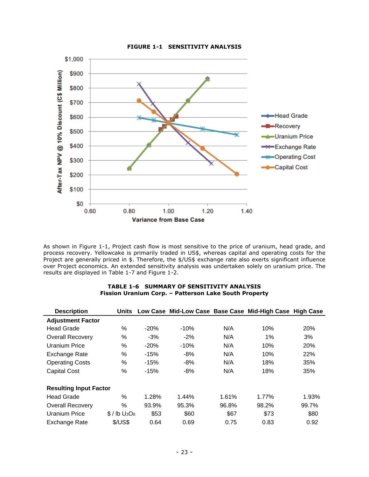

**FIGURE 1-1 SENSITIVITY ANALYSIS**

As shown in Figure 1-1, Project cash flow is most sensitive to the price of uranium, head grade, and process recovery. Yellowcake is primarily traded in US\$, whereas capital and operating costs for the Project are generally priced in \$. Therefore, the \$/US\$ exchange rate also exerts significant influence over Project economics. An extended sensitivity analysis was undertaken solely on uranium price. The results are displayed in Table 1-7 and Figure 1-2.

#### **TABLE 1-6 SUMMARY OF SENSITIVITY ANALYSIS Fission Uranium Corp. – Patterson Lake South Property**

| <b>Description</b>            | <b>Units</b>                          |        |        |       | Low Case Mid-Low Case Base Case Mid-High Case High Case |            |
|-------------------------------|---------------------------------------|--------|--------|-------|---------------------------------------------------------|------------|
| <b>Adjustment Factor</b>      |                                       |        |        |       |                                                         |            |
| <b>Head Grade</b>             | ℅                                     | $-20%$ | $-10%$ | N/A   | 10%                                                     | <b>20%</b> |
| <b>Overall Recovery</b>       | %                                     | $-3%$  | $-2%$  | N/A   | 1%                                                      | 3%         |
| Uranium Price                 | %                                     | $-20%$ | $-10%$ | N/A   | 10%                                                     | 20%        |
| Exchange Rate                 | ℅                                     | $-15%$ | $-8%$  | N/A   | 10%                                                     | 22%        |
| <b>Operating Costs</b>        | $\%$                                  | $-15%$ | $-8%$  | N/A   | 18%                                                     | 35%        |
| <b>Capital Cost</b>           | %                                     | $-15%$ | $-8%$  | N/A   | 18%                                                     | 35%        |
| <b>Resulting Input Factor</b> |                                       |        |        |       |                                                         |            |
| <b>Head Grade</b>             | %                                     | 1.28%  | 1.44%  | 1.61% | 1.77%                                                   | 1.93%      |
| <b>Overall Recovery</b>       | %                                     | 93.9%  | 95.3%  | 96.8% | 98.2%                                                   | 99.7%      |
| <b>Uranium Price</b>          | $$/$ lb U <sub>3</sub> O <sub>8</sub> | \$53   | \$60   | \$67  | \$73                                                    | \$80       |
| Exchange Rate                 | \$/US\$                               | 0.64   | 0.69   | 0.75  | 0.83                                                    | 0.92       |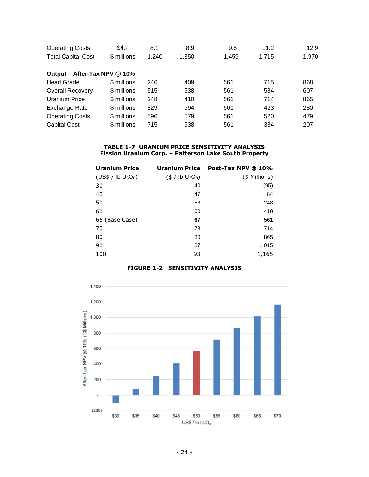| <b>Operating Costs</b>       | \$/lb       | 8.1   | 8.9   | 9.6   | 11.2  | 12.9  |
|------------------------------|-------------|-------|-------|-------|-------|-------|
| <b>Total Capital Cost</b>    | \$ millions | 1.240 | 1,350 | 1,459 | 1,715 | 1,970 |
| Output - After-Tax NPV @ 10% |             |       |       |       |       |       |
| <b>Head Grade</b>            | \$ millions | 246   | 409   | 561   | 715   | 868   |
| <b>Overall Recovery</b>      | \$ millions | 515   | 538   | 561   | 584   | 607   |
| Uranium Price                | \$ millions | 248   | 410   | 561   | 714   | 865   |
| Exchange Rate                | \$ millions | 829   | 694   | 561   | 423   | 280   |
| <b>Operating Costs</b>       | \$ millions | 596   | 579   | 561   | 520   | 479   |
| <b>Capital Cost</b>          | \$ millions | 715   | 638   | 561   | 384   | 207   |

#### **TABLE 1-7 URANIUM PRICE SENSITIVITY ANALYSIS Fission Uranium Corp. – Patterson Lake South Property**

| <b>Uranium Price</b>                       | <b>Uranium Price</b>                                | Post-Tax NPV @ 10% |
|--------------------------------------------|-----------------------------------------------------|--------------------|
| (US\$ / lb U <sub>3</sub> O <sub>8</sub> ) | $(\frac{4}{9}$ / lb U <sub>3</sub> O <sub>8</sub> ) | (\$ Millions)      |
| 30                                         | 40                                                  | (95)               |
| 40                                         | 47                                                  | 84                 |
| 50                                         | 53                                                  | 248                |
| 60                                         | 60                                                  | 410                |
| 65 (Base Case)                             | 67                                                  | 561                |
| 70                                         | 73                                                  | 714                |
| 80                                         | 80                                                  | 865                |
| 90                                         | 87                                                  | 1,015              |
| 100                                        | 93                                                  | 1,165              |

# **FIGURE 1-2 SENSITIVITY ANALYSIS**

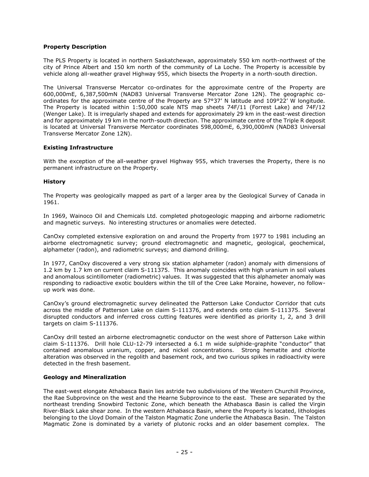# <span id="page-25-0"></span>**Property Description**

The PLS Property is located in northern Saskatchewan, approximately 550 km north-northwest of the city of Prince Albert and 150 km north of the community of La Loche. The Property is accessible by vehicle along all-weather gravel Highway 955, which bisects the Property in a north-south direction.

The Universal Transverse Mercator co-ordinates for the approximate centre of the Property are 600,000mE, 6,387,500mN (NAD83 Universal Transverse Mercator Zone 12N). The geographic coordinates for the approximate centre of the Property are 57°37' N latitude and 109°22' W longitude. The Property is located within 1:50,000 scale NTS map sheets 74F/11 (Forrest Lake) and 74F/12 (Wenger Lake). It is irregularly shaped and extends for approximately 29 km in the east-west direction and for approximately 19 km in the north-south direction. The approximate centre of the Triple R deposit is located at Universal Transverse Mercator coordinates 598,000mE, 6,390,000mN (NAD83 Universal Transverse Mercator Zone 12N).

# <span id="page-25-1"></span>**Existing Infrastructure**

With the exception of the all-weather gravel Highway 955, which traverses the Property, there is no permanent infrastructure on the Property.

# <span id="page-25-2"></span>**History**

The Property was geologically mapped as part of a larger area by the Geological Survey of Canada in 1961.

In 1969, Wainoco Oil and Chemicals Ltd. completed photogeologic mapping and airborne radiometric and magnetic surveys. No interesting structures or anomalies were detected.

CanOxy completed extensive exploration on and around the Property from 1977 to 1981 including an airborne electromagnetic survey; ground electromagnetic and magnetic, geological, geochemical, alphameter (radon), and radiometric surveys; and diamond drilling.

In 1977, CanOxy discovered a very strong six station alphameter (radon) anomaly with dimensions of 1.2 km by 1.7 km on current claim S-111375. This anomaly coincides with high uranium in soil values and anomalous scintillometer (radiometric) values. It was suggested that this alphameter anomaly was responding to radioactive exotic boulders within the till of the Cree Lake Moraine, however, no followup work was done.

CanOxy's ground electromagnetic survey delineated the Patterson Lake Conductor Corridor that cuts across the middle of Patterson Lake on claim S-111376, and extends onto claim S-111375. Several disrupted conductors and inferred cross cutting features were identified as priority 1, 2, and 3 drill targets on claim S-111376.

CanOxy drill tested an airborne electromagnetic conductor on the west shore of Patterson Lake within claim S-111376. Drill hole CLU-12-79 intersected a 6.1 m wide sulphide-graphite "conductor" that contained anomalous uranium, copper, and nickel concentrations. Strong hematite and chlorite alteration was observed in the regolith and basement rock, and two curious spikes in radioactivity were detected in the fresh basement.

# <span id="page-25-3"></span>**Geology and Mineralization**

The east-west elongate Athabasca Basin lies astride two subdivisions of the Western Churchill Province, the Rae Subprovince on the west and the Hearne Subprovince to the east. These are separated by the northeast trending Snowbird Tectonic Zone, which beneath the Athabasca Basin is called the Virgin River-Black Lake shear zone. In the western Athabasca Basin, where the Property is located, lithologies belonging to the Lloyd Domain of the Talston Magmatic Zone underlie the Athabasca Basin. The Talston Magmatic Zone is dominated by a variety of plutonic rocks and an older basement complex. The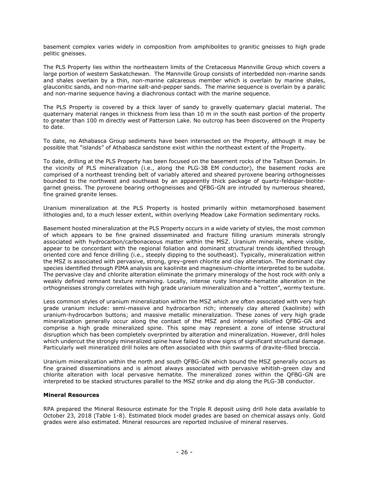basement complex varies widely in composition from amphibolites to granitic gneisses to high grade pelitic gneisses.

The PLS Property lies within the northeastern limits of the Cretaceous Mannville Group which covers a large portion of western Saskatchewan. The Mannville Group consists of interbedded non-marine sands and shales overlain by a thin, non-marine calcareous member which is overlain by marine shales, glauconitic sands, and non-marine salt-and-pepper sands. The marine sequence is overlain by a paralic and non-marine sequence having a diachronous contact with the marine sequence.

The PLS Property is covered by a thick layer of sandy to gravelly quaternary glacial material. The quaternary material ranges in thickness from less than 10 m in the south east portion of the property to greater than 100 m directly west of Patterson Lake. No outcrop has been discovered on the Property to date.

To date, no Athabasca Group sediments have been intersected on the Property, although it may be possible that "islands" of Athabasca sandstone exist within the northeast extent of the Property.

To date, drilling at the PLS Property has been focused on the basement rocks of the Taltson Domain. In the vicinity of PLS mineralization (i.e., along the PLG-3B EM conductor), the basement rocks are comprised of a northeast trending belt of variably altered and sheared pyroxene bearing orthogneisses bounded to the northwest and southeast by an apparently thick package of quartz-feldspar-biotitegarnet gneiss. The pyroxene bearing orthogneisses and QFBG-GN are intruded by numerous sheared, fine grained granite lenses.

Uranium mineralization at the PLS Property is hosted primarily within metamorphosed basement lithologies and, to a much lesser extent, within overlying Meadow Lake Formation sedimentary rocks.

Basement hosted mineralization at the PLS Property occurs in a wide variety of styles, the most common of which appears to be fine grained disseminated and fracture filling uranium minerals strongly associated with hydrocarbon/carbonaceous matter within the MSZ. Uranium minerals, where visible, appear to be concordant with the regional foliation and dominant structural trends identified through oriented core and fence drilling (i.e., steeply dipping to the southeast). Typically, mineralization within the MSZ is associated with pervasive, strong, grey-green chlorite and clay alteration. The dominant clay species identified through PIMA analysis are kaolinite and magnesium-chlorite interpreted to be sudoite. The pervasive clay and chlorite alteration eliminate the primary mineralogy of the host rock with only a weakly defined remnant texture remaining. Locally, intense rusty limonite-hematite alteration in the orthogneisses strongly correlates with high grade uranium mineralization and a "rotten", wormy texture.

Less common styles of uranium mineralization within the MSZ which are often associated with very high grade uranium include: semi-massive and hydrocarbon rich; intensely clay altered (kaolinite) with uranium-hydrocarbon buttons; and massive metallic mineralization. These zones of very high grade mineralization generally occur along the contact of the MSZ and intensely silicified QFBG-GN and comprise a high grade mineralized spine. This spine may represent a zone of intense structural disruption which has been completely overprinted by alteration and mineralization. However, drill holes which undercut the strongly mineralized spine have failed to show signs of significant structural damage. Particularly well mineralized drill holes are often associated with thin swarms of dravite-filled breccia.

Uranium mineralization within the north and south QFBG-GN which bound the MSZ generally occurs as fine grained disseminations and is almost always associated with pervasive whitish-green clay and chlorite alteration with local pervasive hematite. The mineralized zones within the QFBG-GN are interpreted to be stacked structures parallel to the MSZ strike and dip along the PLG-3B conductor.

# <span id="page-26-0"></span>**Mineral Resources**

RPA prepared the Mineral Resource estimate for the Triple R deposit using drill hole data available to October 23, 2018 (Table 1-8). Estimated block model grades are based on chemical assays only. Gold grades were also estimated. Mineral resources are reported inclusive of mineral reserves.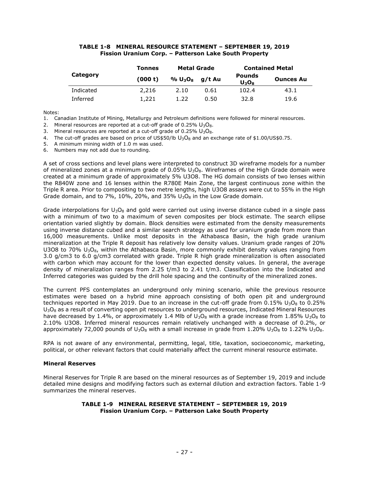#### **TABLE 1-8 MINERAL RESOURCE STATEMENT – SEPTEMBER 19, 2019 Fission Uranium Corp. – Patterson Lake South Property**

|           | Tonnes  | <b>Metal Grade</b> |        |                           | <b>Contained Metal</b> |
|-----------|---------|--------------------|--------|---------------------------|------------------------|
| Category  | (000 t) | $\% U_{3}O_{8}$    | a/t Au | <b>Pounds</b><br>$U_3O_8$ | <b>Ounces Au</b>       |
| Indicated | 2,216   | 2.10               | 0.61   | 102.4                     | 43.1                   |
| Inferred  | 1,221   | 1.22               | 0.50   | 32.8                      | 19.6                   |

Notes:

1. Canadian Institute of Mining, Metallurgy and Petroleum definitions were followed for mineral resources.

2. Mineral resources are reported at a cut-off grade of  $0.25\%$   $U_3O_8$ .

3. Mineral resources are reported at a cut-off grade of  $0.25\%$   $U_3O_8$ .

4. The cut-off grades are based on price of US\$50/lb  $U_3O_8$  and an exchange rate of \$1.00/US\$0.75.

5. A minimum mining width of 1.0 m was used.

6. Numbers may not add due to rounding.

A set of cross sections and level plans were interpreted to construct 3D wireframe models for a number of mineralized zones at a minimum grade of 0.05%  $\cup_3$ O<sub>8</sub>. Wireframes of the High Grade domain were created at a minimum grade of approximately 5% U3O8. The HG domain consists of two lenses within the R840W zone and 16 lenses within the R780E Main Zone, the largest continuous zone within the Triple R area. Prior to compositing to two metre lengths, high U3O8 assays were cut to 55% in the High Grade domain, and to 7%, 10%, 20%, and 35%  $U_3O_8$  in the Low Grade domain.

Grade interpolations for  $U_3O_8$  and gold were carried out using inverse distance cubed in a single pass with a minimum of two to a maximum of seven composites per block estimate. The search ellipse orientation varied slightly by domain. Block densities were estimated from the density measurements using inverse distance cubed and a similar search strategy as used for uranium grade from more than 16,000 measurements. Unlike most deposits in the Athabasca Basin, the high grade uranium mineralization at the Triple R deposit has relatively low density values. Uranium grade ranges of 20% U3O8 to 70%  $U_3O_8$ , within the Athabasca Basin, more commonly exhibit density values ranging from 3.0 g/cm3 to 6.0 g/cm3 correlated with grade. Triple R high grade mineralization is often associated with carbon which may account for the lower than expected density values. In general, the average density of mineralization ranges from 2.25 t/m3 to 2.41 t/m3. Classification into the Indicated and Inferred categories was guided by the drill hole spacing and the continuity of the mineralized zones.

The current PFS contemplates an underground only mining scenario, while the previous resource estimates were based on a hybrid mine approach consisting of both open pit and underground techniques reported in May 2019. Due to an increase in the cut-off grade from  $0.15\%$  U<sub>3</sub>O<sub>8</sub> to 0.25%  $U_3O_8$  as a result of converting open pit resources to underground resources, Indicated Mineral Resources have decreased by 1.4%, or approximately 1.4 Mlb of  $U_3O_8$  with a grade increase from 1.85%  $U_3O_8$  to 2.10% U3O8. Inferred mineral resources remain relatively unchanged with a decrease of 0.2%, or approximately 72,000 pounds of  $U_3O_8$  with a small increase in grade from 1.20%  $U_3O_8$  to 1.22%  $U_3O_8$ .

RPA is not aware of any environmental, permitting, legal, title, taxation, socioeconomic, marketing, political, or other relevant factors that could materially affect the current mineral resource estimate.

# <span id="page-27-0"></span>**Mineral Reserves**

Mineral Reserves for Triple R are based on the mineral resources as of September 19, 2019 and include detailed mine designs and modifying factors such as external dilution and extraction factors. Table 1-9 summarizes the mineral reserves.

#### **TABLE 1-9 MINERAL RESERVE STATEMENT – SEPTEMBER 19, 2019 Fission Uranium Corp. – Patterson Lake South Property**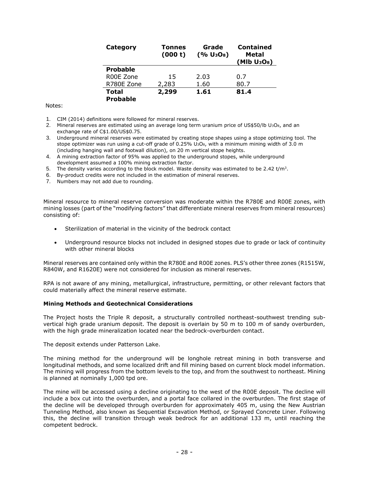| Category                        | Tonnes<br>(000 t) | Grade<br>(% U <sub>3</sub> O <sub>8</sub> ) | <b>Contained</b><br>Metal<br>(Mlb U <sub>3</sub> O <sub>8</sub> ) |
|---------------------------------|-------------------|---------------------------------------------|-------------------------------------------------------------------|
| <b>Probable</b>                 |                   |                                             |                                                                   |
| R00E Zone                       | 15                | 2.03                                        | 0.7                                                               |
| R780E Zone                      | 2,283             | 1.60                                        | 80.7                                                              |
| <b>Total</b><br><b>Probable</b> | 2,299             | 1.61                                        | 81.4                                                              |

#### Notes:

- 1. CIM (2014) definitions were followed for mineral reserves.
- 2. Mineral reserves are estimated using an average long term uranium price of US\$50/lb U<sub>3</sub>O<sub>8</sub>, and an exchange rate of C\$1.00/US\$0.75.
- 3. Underground mineral reserves were estimated by creating stope shapes using a stope optimizing tool. The stope optimizer was run using a cut-off grade of 0.25% U<sub>3</sub>O<sub>8</sub>, with a minimum mining width of 3.0 m (including hanging wall and footwall dilution), on 20 m vertical stope heights.
- 4. A mining extraction factor of 95% was applied to the underground stopes, while underground development assumed a 100% mining extraction factor.
- 5. The density varies according to the block model. Waste density was estimated to be 2.42 t/m<sup>3</sup>.
- 6. By-product credits were not included in the estimation of mineral reserves.
- 7. Numbers may not add due to rounding.

Mineral resource to mineral reserve conversion was moderate within the R780E and R00E zones, with mining losses (part of the "modifying factors" that differentiate mineral reserves from mineral resources) consisting of:

- Sterilization of material in the vicinity of the bedrock contact
- Underground resource blocks not included in designed stopes due to grade or lack of continuity with other mineral blocks

Mineral reserves are contained only within the R780E and R00E zones. PLS's other three zones (R1515W, R840W, and R1620E) were not considered for inclusion as mineral reserves.

RPA is not aware of any mining, metallurgical, infrastructure, permitting, or other relevant factors that could materially affect the mineral reserve estimate.

#### <span id="page-28-0"></span>**Mining Methods and Geotechnical Considerations**

The Project hosts the Triple R deposit, a structurally controlled northeast-southwest trending subvertical high grade uranium deposit. The deposit is overlain by 50 m to 100 m of sandy overburden, with the high grade mineralization located near the bedrock-overburden contact.

The deposit extends under Patterson Lake.

The mining method for the underground will be longhole retreat mining in both transverse and longitudinal methods, and some localized drift and fill mining based on current block model information. The mining will progress from the bottom levels to the top, and from the southwest to northeast. Mining is planned at nominally 1,000 tpd ore.

The mine will be accessed using a decline originating to the west of the R00E deposit. The decline will include a box cut into the overburden, and a portal face collared in the overburden. The first stage of the decline will be developed through overburden for approximately 405 m, using the New Austrian Tunneling Method, also known as Sequential Excavation Method, or Sprayed Concrete Liner. Following this, the decline will transition through weak bedrock for an additional 133 m, until reaching the competent bedrock.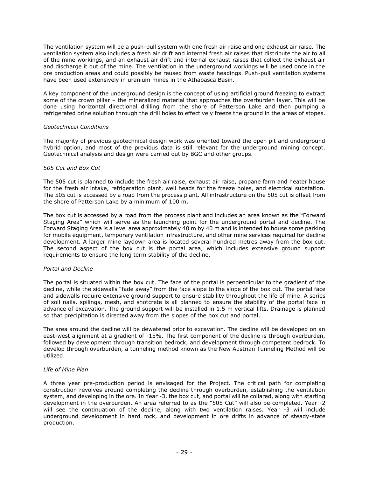The ventilation system will be a push-pull system with one fresh air raise and one exhaust air raise. The ventilation system also includes a fresh air drift and internal fresh air raises that distribute the air to all of the mine workings, and an exhaust air drift and internal exhaust raises that collect the exhaust air and discharge it out of the mine. The ventilation in the underground workings will be used once in the ore production areas and could possibly be reused from waste headings. Push-pull ventilation systems have been used extensively in uranium mines in the Athabasca Basin.

A key component of the underground design is the concept of using artificial ground freezing to extract some of the crown pillar – the mineralized material that approaches the overburden layer. This will be done using horizontal directional drilling from the shore of Patterson Lake and then pumping a refrigerated brine solution through the drill holes to effectively freeze the ground in the areas of stopes.

#### *Geotechnical Conditions*

The majority of previous geotechnical design work was oriented toward the open pit and underground hybrid option, and most of the previous data is still relevant for the underground mining concept. Geotechnical analysis and design were carried out by BGC and other groups.

# *505 Cut and Box Cut*

The 505 cut is planned to include the fresh air raise, exhaust air raise, propane farm and heater house for the fresh air intake, refrigeration plant, well heads for the freeze holes, and electrical substation. The 505 cut is accessed by a road from the process plant. All infrastructure on the 505 cut is offset from the shore of Patterson Lake by a minimum of 100 m.

The box cut is accessed by a road from the process plant and includes an area known as the "Forward Staging Area" which will serve as the launching point for the underground portal and decline. The Forward Staging Area is a level area approximately 40 m by 40 m and is intended to house some parking for mobile equipment, temporary ventilation infrastructure, and other mine services required for decline development. A larger mine laydown area is located several hundred metres away from the box cut. The second aspect of the box cut is the portal area, which includes extensive ground support requirements to ensure the long term stability of the decline.

# *Portal and Decline*

The portal is situated within the box cut. The face of the portal is perpendicular to the gradient of the decline, while the sidewalls "fade away" from the face slope to the slope of the box cut. The portal face and sidewalls require extensive ground support to ensure stability throughout the life of mine. A series of soil nails, spilings, mesh, and shotcrete is all planned to ensure the stability of the portal face in advance of excavation. The ground support will be installed in 1.5 m vertical lifts. Drainage is planned so that precipitation is directed away from the slopes of the box cut and portal.

The area around the decline will be dewatered prior to excavation. The decline will be developed on an east-west alignment at a gradient of -15%. The first component of the decline is through overburden, followed by development through transition bedrock, and development through competent bedrock. To develop through overburden, a tunneling method known as the New Austrian Tunneling Method will be utilized.

# *Life of Mine Plan*

A three year pre-production period is envisaged for the Project. The critical path for completing construction revolves around completing the decline through overburden, establishing the ventilation system, and developing in the ore. In Year -3, the box cut, and portal will be collared, along with starting development in the overburden. An area referred to as the "505 Cut" will also be completed. Year -2 will see the continuation of the decline, along with two ventilation raises. Year -3 will include underground development in hard rock, and development in ore drifts in advance of steady-state production.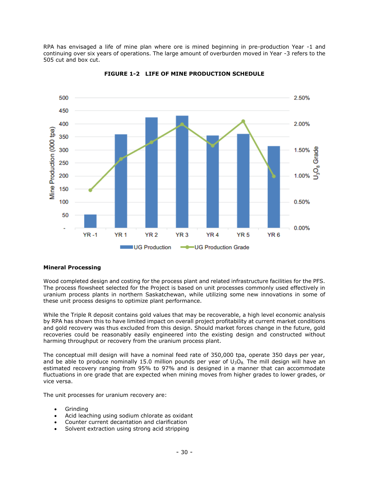RPA has envisaged a life of mine plan where ore is mined beginning in pre-production Year -1 and continuing over six years of operations. The large amount of overburden moved in Year -3 refers to the 505 cut and box cut.



**FIGURE 1-2 LIFE OF MINE PRODUCTION SCHEDULE**

# <span id="page-30-0"></span>**Mineral Processing**

Wood completed design and costing for the process plant and related infrastructure facilities for the PFS. The process flowsheet selected for the Project is based on unit processes commonly used effectively in uranium process plants in northern Saskatchewan, while utilizing some new innovations in some of these unit process designs to optimize plant performance.

While the Triple R deposit contains gold values that may be recoverable, a high level economic analysis by RPA has shown this to have limited impact on overall project profitability at current market conditions and gold recovery was thus excluded from this design. Should market forces change in the future, gold recoveries could be reasonably easily engineered into the existing design and constructed without harming throughput or recovery from the uranium process plant.

The conceptual mill design will have a nominal feed rate of 350,000 tpa, operate 350 days per year, and be able to produce nominally 15.0 million pounds per year of  $U_3O_8$ . The mill design will have an estimated recovery ranging from 95% to 97% and is designed in a manner that can accommodate fluctuations in ore grade that are expected when mining moves from higher grades to lower grades, or vice versa.

The unit processes for uranium recovery are:

- Grinding
- Acid leaching using sodium chlorate as oxidant
- Counter current decantation and clarification
- Solvent extraction using strong acid stripping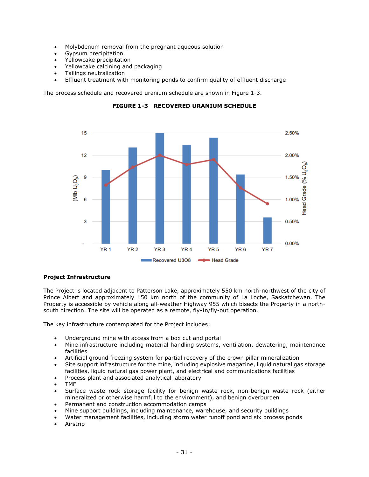- Molybdenum removal from the pregnant aqueous solution
- Gypsum precipitation
- Yellowcake precipitation
- Yellowcake calcining and packaging
- Tailings neutralization
- Effluent treatment with monitoring ponds to confirm quality of effluent discharge

The process schedule and recovered uranium schedule are shown in Figure 1-3.



**FIGURE 1-3 RECOVERED URANIUM SCHEDULE**

# <span id="page-31-0"></span>**Project Infrastructure**

The Project is located adjacent to Patterson Lake, approximately 550 km north-northwest of the city of Prince Albert and approximately 150 km north of the community of La Loche, Saskatchewan. The Property is accessible by vehicle along all-weather Highway 955 which bisects the Property in a northsouth direction. The site will be operated as a remote, fly-In/fly-out operation.

The key infrastructure contemplated for the Project includes:

- Underground mine with access from a box cut and portal
- Mine infrastructure including material handling systems, ventilation, dewatering, maintenance facilities
- Artificial ground freezing system for partial recovery of the crown pillar mineralization
- Site support infrastructure for the mine, including explosive magazine, liquid natural gas storage facilities, liquid natural gas power plant, and electrical and communications facilities
- Process plant and associated analytical laboratory
- TMF
- Surface waste rock storage facility for benign waste rock, non-benign waste rock (either mineralized or otherwise harmful to the environment), and benign overburden
- Permanent and construction accommodation camps
- Mine support buildings, including maintenance, warehouse, and security buildings
- Water management facilities, including storm water runoff pond and six process ponds
- **Airstrip**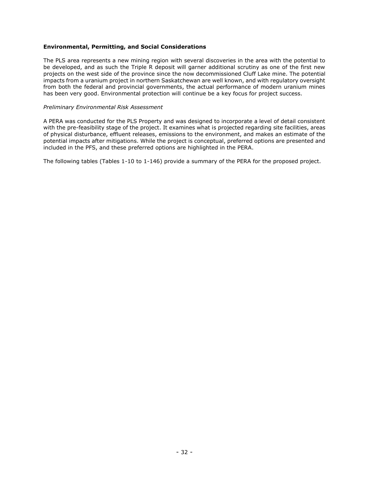# <span id="page-32-0"></span>**Environmental, Permitting, and Social Considerations**

The PLS area represents a new mining region with several discoveries in the area with the potential to be developed, and as such the Triple R deposit will garner additional scrutiny as one of the first new projects on the west side of the province since the now decommissioned Cluff Lake mine. The potential impacts from a uranium project in northern Saskatchewan are well known, and with regulatory oversight from both the federal and provincial governments, the actual performance of modern uranium mines has been very good. Environmental protection will continue be a key focus for project success.

#### *Preliminary Environmental Risk Assessment*

A PERA was conducted for the PLS Property and was designed to incorporate a level of detail consistent with the pre-feasibility stage of the project. It examines what is projected regarding site facilities, areas of physical disturbance, effluent releases, emissions to the environment, and makes an estimate of the potential impacts after mitigations. While the project is conceptual, preferred options are presented and included in the PFS, and these preferred options are highlighted in the PERA.

The following tables (Tables 1-10 to 1-146) provide a summary of the PERA for the proposed project.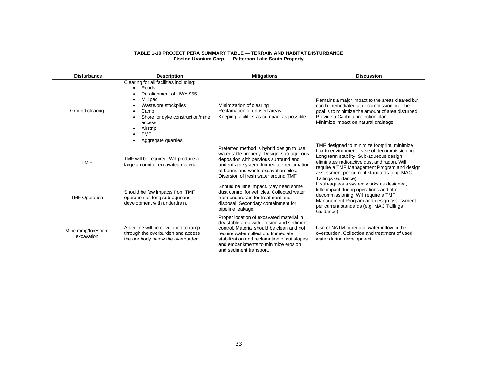#### **TABLE 1-10 PROJECT PERA SUMMARY TABLE — TERRAIN AND HABITAT DISTURBANCE Fission Uranium Corp. — Patterson Lake South Property**

| <b>Disturbance</b>                | <b>Description</b>                                                                                                                                                                                          | <b>Mitigations</b>                                                                                                                                                                                                                                                                         | <b>Discussion</b>                                                                                                                                                                                                                                                                                          |
|-----------------------------------|-------------------------------------------------------------------------------------------------------------------------------------------------------------------------------------------------------------|--------------------------------------------------------------------------------------------------------------------------------------------------------------------------------------------------------------------------------------------------------------------------------------------|------------------------------------------------------------------------------------------------------------------------------------------------------------------------------------------------------------------------------------------------------------------------------------------------------------|
| Ground clearing                   | Clearing for all facilities including:<br>Roads<br>Re-alignment of HWY 955<br>Mill pad<br>Waste/ore stockpiles<br>Camp<br>$\bullet$<br>Shore for dyke construction/mine<br>access<br>Airstrip<br><b>TMF</b> | Minimization of clearing<br>Reclamation of unused areas<br>Keeping facilities as compact as possible                                                                                                                                                                                       | Remains a major impact to the areas cleared but<br>can be remediated at decommissioning. The<br>goal is to minimize the amount of area disturbed.<br>Provide a Caribou protection plan.<br>Minimize impact on natural drainage.                                                                            |
| <b>TMF</b>                        | Aggregate quarries<br>TMF will be required. Will produce a<br>large amount of excavated material.                                                                                                           | Preferred method is hybrid design to use<br>water table properly. Design: sub-aqueous<br>deposition with pervious surround and<br>underdrain system. Immediate reclamation<br>of berms and waste excavation piles.<br>Diversion of fresh water around TMF                                  | TMF designed to minimize footprint, minimize<br>flux to environment. ease of decommissioning.<br>Long term stability. Sub-aqueous design<br>eliminates radioactive dust and radon. Will<br>require a TMF Management Program and design<br>assessment per current standards (e.g. MAC<br>Tailings Guidance) |
| <b>TMF Operation</b>              | Should be few impacts from TMF<br>operation as long sub-aqueous<br>development with underdrain.                                                                                                             | Should be lithe impact. May need some<br>dust control for vehicles. Collected water<br>from underdrain for treatment and<br>disposal. Secondary containment for<br>pipeline leakage.                                                                                                       | If sub-aqueous system works as designed,<br>little impact during operations and after<br>decommissioning. Will require a TMF<br>Management Program and design assessment<br>per current standards (e.g. MAC Tailings<br>Guidance)                                                                          |
| Mine ramp/foreshore<br>excavation | A decline will be developed to ramp<br>through the overburden and access<br>the ore body below the overburden.                                                                                              | Proper location of excavated material in<br>dry stable area with erosion and sediment<br>control. Material should be clean and not<br>require water collection. Immediate<br>stabilization and reclamation of cut slopes<br>and embankments to minimize erosion<br>and sediment transport. | Use of NATM to reduce water inflow in the<br>overburden. Collection and treatment of used<br>water during development.                                                                                                                                                                                     |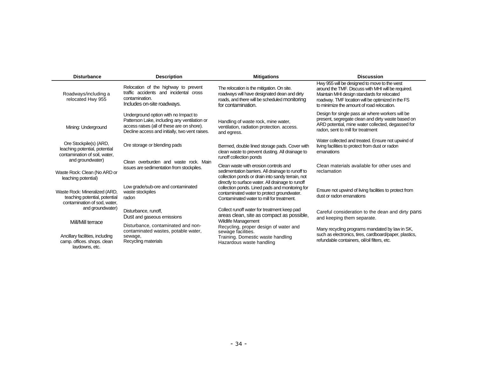| <b>Disturbance</b>                                                                                                                      | <b>Description</b>                                                                                                                                                                   | <b>Mitigations</b>                                                                                                                                                                                   | <b>Discussion</b>                                                                                                                                                                                                                                    |
|-----------------------------------------------------------------------------------------------------------------------------------------|--------------------------------------------------------------------------------------------------------------------------------------------------------------------------------------|------------------------------------------------------------------------------------------------------------------------------------------------------------------------------------------------------|------------------------------------------------------------------------------------------------------------------------------------------------------------------------------------------------------------------------------------------------------|
| Roadways/including a<br>relocated Hwy 955                                                                                               | Relocation of the highway to prevent<br>traffic accidents and incidental cross<br>contamination.<br>Includes on-site roadways.                                                       | The relocation is the mitigation. On site.<br>roadways will have designated dean and dirty<br>roads, and there will be scheduled monitoring<br>for contamination.                                    | Hwy 955 will be designed to move to the west<br>around the TMF. Discuss with MHI will be required.<br>Maintain MHI design standards for relocated<br>roadway. TMF location will be optimized in the FS<br>to minimize the amount of road relocation. |
| Mining: Underground                                                                                                                     | Underground option with no Impact to<br>Patterson Lake, including any ventilation or<br>access raises (all of these are on shore).<br>Decline access and initially, two vent raises. | Handling of waste rock, mine water,<br>ventilation, radiation protection. access.<br>and egress.                                                                                                     | Design for single pass air where workers will be<br>present, segregate clean and dirty waste based on<br>ARD potential, mine water collected, degassed for<br>radon, sent to mill for treatment                                                      |
| Ore Stockpile(s) (ARD,<br>leaching potential, potential<br>contamination of soil, water,<br>and groundwater)                            | Ore storage or blending pads                                                                                                                                                         | Bermed, double lined storage pads. Cover with<br>clean waste to prevent dusting. All drainage to<br>runoff collection ponds                                                                          | Water collected and treated. Ensure not upwind of<br>living facilities to protect from dust or radon<br>emanations                                                                                                                                   |
| Waste Rock: Clean (No ARD or<br>leaching potential)                                                                                     | Clean overburden and waste rock. Main<br>issues are sedimentation from stockpiles.                                                                                                   | Clean waste with erosion controls and<br>sedimentation barriers. All drainage to runoff to<br>collection ponds or drain into sandy terrain, not<br>directly to surface water. All drainage to runoff | Clean materials available for other uses and<br>reclamation                                                                                                                                                                                          |
| Waste Rock: Mineralized (ARD,<br>teaching potential, potential<br>contamination of sod, water,<br>and groundwater)<br>Mill/Mill terrace | Low grade/sub-ore and contaminated<br>waste stockpiles<br>radon                                                                                                                      | collection ponds. Lined pads and monitoring for<br>contaminated water to protect groundwater.<br>Contaminated water to mill for treatment.                                                           | Ensure not upwind of living facilities to protect from<br>dust or radon emanations                                                                                                                                                                   |
|                                                                                                                                         | Disturbance, runoff,<br>Dust and gaseous emissions                                                                                                                                   | Collect runoff water for treatment keep pad<br>areas clean, site as compact as possible,<br><b>Wildlife Management</b>                                                                               | Careful consideration to the dean and dirty pans<br>and keeping them separate.                                                                                                                                                                       |
| Ancillary facilities, including<br>camp. offices. shops. clean<br>lavdowns, etc.                                                        | Disturbance, contaminated and non-<br>contaminated wastes, potable water,<br>sewage,<br>Recycling materials                                                                          | Recycling, proper design of water and<br>sewage facilities.<br>Training. Domestic waste handling<br>Hazardous waste handling                                                                         | Many recycling programs mandated by law in SK,<br>such as electronics, tires, cardboard/paper, plastics,<br>refundable containers, oil/oil filters, etc.                                                                                             |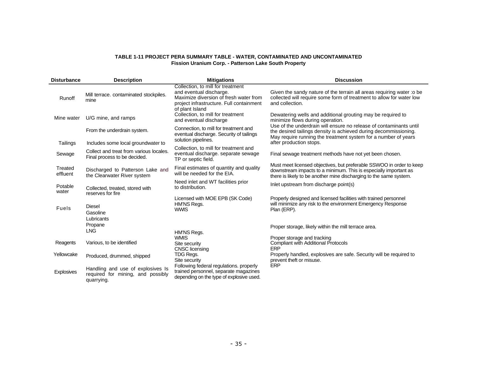#### **TABLE 1-11 PROJECT PERA SUMMARY TABLE - WATER, CONTAMINATED AND UNCONTAMINATED Fission Uranium Corp. - Patterson Lake South Property**

| <b>Disturbance</b>  | <b>Description</b>                                                                   | <b>Mitigations</b>                                                                                                                                                    | <b>Discussion</b>                                                                                                                                                                                              |
|---------------------|--------------------------------------------------------------------------------------|-----------------------------------------------------------------------------------------------------------------------------------------------------------------------|----------------------------------------------------------------------------------------------------------------------------------------------------------------------------------------------------------------|
| Runoff              | Mill terrace. contaminated stockpiles.<br>mine                                       | Collection, to mill for treatment<br>and eventual discharge.<br>Maximize diversion of fresh water from<br>project infrastructure. Full containment<br>of plant Island | Given the sandy nature of the terrain all areas requiring water to be<br>collected will require some form of treatment to allow for water low<br>and collection.                                               |
| Mine water          | U/G mine, and ramps                                                                  | Collection, to mill for treatment<br>and eventual discharge                                                                                                           | Dewatering wells and additional grouting may be required to<br>minimize flows during operation.                                                                                                                |
|                     | From the underdrain system.                                                          | Connection, to mill for treatment and<br>eventual discharge. Security of tailings                                                                                     | Use of the underdrain will ensure no release of contaminants until<br>the desired tailings density is achieved during decommissioning.<br>May require running the treatment system for a number of years       |
| Tailings            | Includes some local groundwater to                                                   | solution pipelines.                                                                                                                                                   | after production stops.                                                                                                                                                                                        |
| Sewage              | Collect and treat from various locales.<br>Final process to be decided.              | Collection, to mill for treatment and<br>eventual discharge. separate sewage<br>TP or septic field.                                                                   | Final sewage treatment methods have not yet been chosen.                                                                                                                                                       |
| Treated<br>effluent | Discharged to Patterson Lake and<br>the Clearwater River system                      | Final estimates of quantity and quality<br>will be needed for the EIA.                                                                                                | Must meet licensed objectives, but preferable SSWOO in order to keep<br>downstream impacts to a minimum. This is especially important as<br>there is likely to be another mine discharging to the same system. |
| Potable<br>water    | Collected, treated, stored with<br>reserves for fire                                 | Need inlet and WT facilities prior<br>to distribution.                                                                                                                | Inlet upstream from discharge point(s)                                                                                                                                                                         |
| Fuels               | Diesel<br>Gasoline<br>Lubricants                                                     | Licensed with MOE EPB (SK Code)<br>HM'NS Regs.<br><b>WWIS</b>                                                                                                         | Properly designed and licensed facilities with trained personnel<br>will minimize any risk to the environment Emergency Response<br>Plan (ERP).                                                                |
|                     | Propane<br><b>LNG</b>                                                                | HM'NS Regs.                                                                                                                                                           | Proper storage, likely within the mill terrace area.                                                                                                                                                           |
| Reagents            | Various, to be identified                                                            | <b>WMIS</b><br>Site security<br><b>CNSC</b> licensing                                                                                                                 | Proper storage and tracking<br><b>Compliant with Additional Protocols</b><br>ERP                                                                                                                               |
| Yellowcake          | Produced, drummed, shipped                                                           | TDG Regs.<br>Site security                                                                                                                                            | Properly handled, explosives are safe. Security will be required to<br>prevent theft or misuse.                                                                                                                |
| <b>Explosives</b>   | Handling and use of explosives Is<br>required for mining, and possibly<br>quarrying. | Following federal regulations. properly<br>trained personnel, separate magazines<br>depending on the type of explosive used.                                          | <b>ERP</b>                                                                                                                                                                                                     |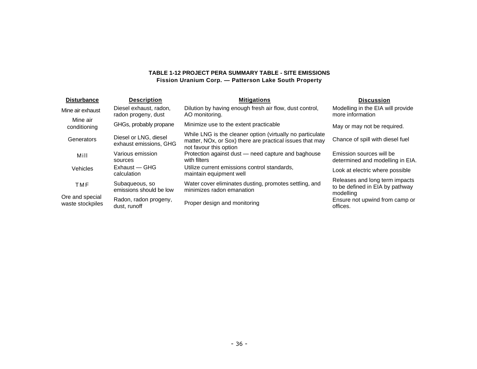# **TABLE 1-12 PROJECT PERA SUMMARY TABLE - SITE EMISSIONS Fission Uranium Corp. — Patterson Lake South Property**

| <b>Disturbance</b>                  | <b>Description</b>                              | <b>Mitigations</b>                                                                                                                              | <b>Discussion</b>                                                              |
|-------------------------------------|-------------------------------------------------|-------------------------------------------------------------------------------------------------------------------------------------------------|--------------------------------------------------------------------------------|
| Mine air exhaust                    | Diesel exhaust, radon,<br>radon progeny, dust   | Dilution by having enough fresh air flow, dust control,<br>AO monitoring.                                                                       | Modelling in the EIA will provide<br>more information                          |
| Mine air<br>conditioning            | GHGs, probably propane                          | Minimize use to the extent practicable                                                                                                          | May or may not be required.                                                    |
| Generators                          | Diesel or LNG, diesel<br>exhaust emissions, GHG | While LNG is the cleaner option (virtually no particulate<br>matter, NOx, or Sox) there are practical issues that may<br>not favour this option | Chance of spill with diesel fuel                                               |
| Mill                                | Various emission<br>sources                     | Protection against dust - need capture and baghouse<br>with filters                                                                             | Emission sources will be<br>determined and modelling in EIA.                   |
| <b>Vehicles</b>                     | Exhaust - GHG<br>calculation                    | Utilize current emissions control standards.<br>maintain equipment well                                                                         | Look at electric where possible                                                |
| <b>TMF</b>                          | Subaqueous, so<br>emissions should be low       | Water cover eliminates dusting, promotes settling, and<br>minimizes radon emanation                                                             | Releases and long term impacts<br>to be defined in EIA by pathway<br>modelling |
| Ore and special<br>waste stockpiles | Radon, radon progeny,<br>dust, runoff           | Proper design and monitoring                                                                                                                    | Ensure not upwind from camp or<br>offices.                                     |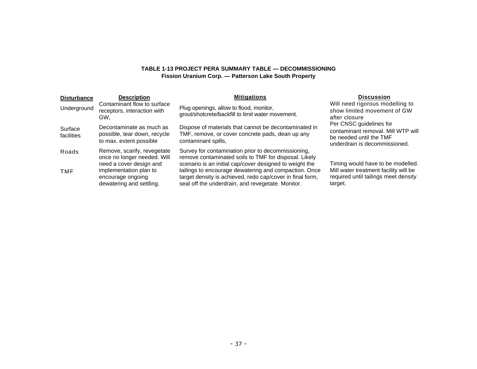# **TABLE 1-13 PROJECT PERA SUMMARY TABLE — DECOMMISSIONING Fission Uranium Corp. — Patterson Lake South Property**

| <b>Disturbance</b>    | <b>Description</b>                                                                    | <b>Mitigations</b>                                                                                                                                                      | <b>Discussion</b>                                                                                                         |
|-----------------------|---------------------------------------------------------------------------------------|-------------------------------------------------------------------------------------------------------------------------------------------------------------------------|---------------------------------------------------------------------------------------------------------------------------|
| Underground           | Contaminant flow to surface<br>receptors, interaction with<br>GW.                     | Plug openings, allow to flood, monitor,<br>grout/shotcrete/backfill to limit water movement.                                                                            | Will need rigorous modelling to<br>show limited movement of GW<br>after closure                                           |
| Surface<br>facilities | Decontaminate as much as<br>possible, tear down, recycle<br>to max. extent possible   | Dispose of materials that cannot be decontaminated in<br>TMF, remove, or cover concrete pads, dean up any<br>contaminant spills,                                        | Per CNSC guidelines for<br>contaminant removal. Mill WTP will<br>be needed until the TMF<br>underdrain is decommissioned. |
| Roads                 | Remove, scarify, revegetate<br>once no longer needed. Will<br>need a cover design and | Survey for contamination prior to decommissioning,<br>remove contaminated soils to TMF for disposal. Likely<br>scenario is an initial cap/cover designed to weight the  | Timing would have to be modelled.                                                                                         |
| <b>TMF</b>            | implementation plan to<br>encourage ongoing<br>dewatering and settling.               | tailings to encourage dewatering and compaction. Once<br>target density is achieved, redo cap/cover in final form,<br>seal off the underdrain, and revegetate. Monitor. | Mill water treatment facility will be<br>required until tailings meet density<br>target.                                  |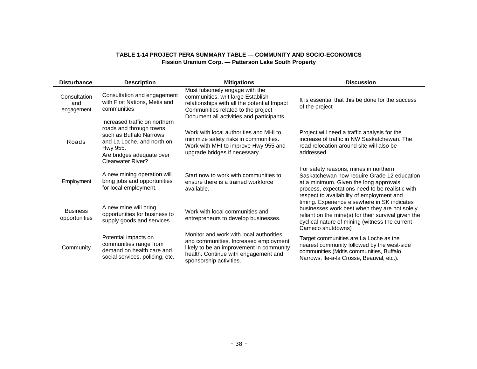# **TABLE 1-14 PROJECT PERA SUMMARY TABLE — COMMUNITY AND SOCIO-ECONOMICS Fission Uranium Corp. — Patterson Lake South Property**

| <b>Disturbance</b>                | <b>Description</b>                                                                                                                                                              | <b>Mitigations</b>                                                                                                                                                                                   | <b>Discussion</b>                                                                                                                                                                                                              |
|-----------------------------------|---------------------------------------------------------------------------------------------------------------------------------------------------------------------------------|------------------------------------------------------------------------------------------------------------------------------------------------------------------------------------------------------|--------------------------------------------------------------------------------------------------------------------------------------------------------------------------------------------------------------------------------|
| Consultation<br>and<br>engagement | Consultation and engagement<br>with First Nations, Metis and<br>communities                                                                                                     | Must fulsomely engage with the<br>communities, writ large Establish<br>relationships with all the potential Impact<br>Communities related to the project<br>Document all activities and participants | It is essential that this be done for the success<br>of the project                                                                                                                                                            |
| Roads                             | Increased traffic on northern<br>roads and through towns<br>such as Buffalo Narrows<br>and La Loche, and north on<br>Hwy 955.<br>Are bridges adequate over<br>Clearwater River? | Work with local authorities and MHI to<br>minimize safety risks in communities.<br>Work with MHI to improve Hwy 955 and<br>upgrade bridges if necessary.                                             | Project will need a traffic analysis for the<br>increase of traffic in NW Saskatchewan. The<br>road relocation around site will also be<br>addressed.                                                                          |
| Employment                        | A new mining operation will<br>bring jobs and opportunities<br>for local employment.                                                                                            | Start now to work with communities to<br>ensure there is a trained workforce<br>available.                                                                                                           | For safety reasons, mines in northern<br>Saskatchewan now require Grade 12 education<br>at a minimum. Given the long approvals<br>process, expectations need to be realistic with<br>respect to availability of employment and |
| <b>Business</b><br>opportunities  | A new mine will bring<br>opportunities for business to<br>supply goods and services.                                                                                            | Work with local communities and<br>entrepreneurs to develop businesses.                                                                                                                              | timing. Experience elsewhere in SK indicates<br>businesses work best when they are not solely<br>reliant on the mine(s) for their survival given the<br>cyclical nature of mining (witness the current<br>Cameco shutdowns)    |
| Community                         | Potential impacts on<br>communities range from<br>demand on health care and<br>social services, policing, etc.                                                                  | Monitor and work with local authorities<br>and communities. Increased employment<br>likely to be an improvement in community<br>health. Continue with engagement and<br>sponsorship activities.      | Target communities are La Loche as the<br>nearest community followed by the west-side<br>communities (Mdtis communities, Buffalo<br>Narrows, Ile-a-la Crosse, Beauval, etc.).                                                  |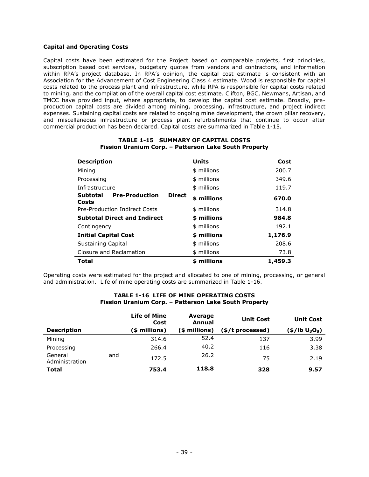# <span id="page-39-0"></span>**Capital and Operating Costs**

Capital costs have been estimated for the Project based on comparable projects, first principles, subscription based cost services, budgetary quotes from vendors and contractors, and information within RPA's project database. In RPA's opinion, the capital cost estimate is consistent with an Association for the Advancement of Cost Engineering Class 4 estimate. Wood is responsible for capital costs related to the process plant and infrastructure, while RPA is responsible for capital costs related to mining, and the compilation of the overall capital cost estimate. Clifton, BGC, Newmans, Artisan, and TMCC have provided input, where appropriate, to develop the capital cost estimate. Broadly, preproduction capital costs are divided among mining, processing, infrastructure, and project indirect expenses. Sustaining capital costs are related to ongoing mine development, the crown pillar recovery, and miscellaneous infrastructure or process plant refurbishments that continue to occur after commercial production has been declared. Capital costs are summarized in Table 1-15.

| <b>Description</b>                                                 | <b>Units</b> | Cost    |
|--------------------------------------------------------------------|--------------|---------|
| Mining                                                             | \$ millions  | 200.7   |
| Processing                                                         | \$ millions  | 349.6   |
| Infrastructure                                                     | \$ millions  | 119.7   |
| <b>Pre-Production</b><br><b>Direct</b><br><b>Subtotal</b><br>Costs | \$ millions  | 670.0   |
| <b>Pre-Production Indirect Costs</b>                               | \$ millions  | 314.8   |
| <b>Subtotal Direct and Indirect</b>                                | \$ millions  | 984.8   |
| Contingency                                                        | \$ millions  | 192.1   |
| <b>Initial Capital Cost</b>                                        | \$ millions  | 1,176.9 |
| Sustaining Capital                                                 | \$ millions  | 208.6   |
| Closure and Reclamation                                            | \$ millions  | 73.8    |
| Total                                                              | \$ millions  | 1,459.3 |

#### **TABLE 1-15 SUMMARY OF CAPITAL COSTS Fission Uranium Corp. – Patterson Lake South Property**

Operating costs were estimated for the project and allocated to one of mining, processing, or general and administration. Life of mine operating costs are summarized in Table 1-16.

#### **TABLE 1-16 LIFE OF MINE OPERATING COSTS Fission Uranium Corp. – Patterson Lake South Property**

|                           |     | <b>Life of Mine</b><br>Cost | Average<br>Annual | <b>Unit Cost</b> | <b>Unit Cost</b>                       |
|---------------------------|-----|-----------------------------|-------------------|------------------|----------------------------------------|
| <b>Description</b>        |     | (\$ millions)               | (\$ millions)     | (\$/t processed) | (\$/lb U <sub>3</sub> O <sub>8</sub> ) |
| Mining                    |     | 314.6                       | 52.4              | 137              | 3.99                                   |
| Processing                |     | 266.4                       | 40.2              | 116              | 3.38                                   |
| General<br>Administration | and | 172.5                       | 26.2              | 75               | 2.19                                   |
| <b>Total</b>              |     | 753.4                       | 118.8             | 328              | 9.57                                   |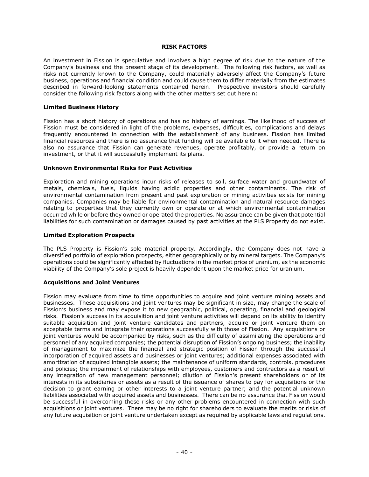#### **RISK FACTORS**

<span id="page-40-0"></span>An investment in Fission is speculative and involves a high degree of risk due to the nature of the Company's business and the present stage of its development. The following risk factors, as well as risks not currently known to the Company, could materially adversely affect the Company's future business, operations and financial condition and could cause them to differ materially from the estimates described in forward-looking statements contained herein. Prospective investors should carefully consider the following risk factors along with the other matters set out herein:

#### <span id="page-40-1"></span>**Limited Business History**

Fission has a short history of operations and has no history of earnings. The likelihood of success of Fission must be considered in light of the problems, expenses, difficulties, complications and delays frequently encountered in connection with the establishment of any business. Fission has limited financial resources and there is no assurance that funding will be available to it when needed. There is also no assurance that Fission can generate revenues, operate profitably, or provide a return on investment, or that it will successfully implement its plans.

#### <span id="page-40-2"></span>**Unknown Environmental Risks for Past Activities**

Exploration and mining operations incur risks of releases to soil, surface water and groundwater of metals, chemicals, fuels, liquids having acidic properties and other contaminants. The risk of environmental contamination from present and past exploration or mining activities exists for mining companies. Companies may be liable for environmental contamination and natural resource damages relating to properties that they currently own or operate or at which environmental contamination occurred while or before they owned or operated the properties. No assurance can be given that potential liabilities for such contamination or damages caused by past activities at the PLS Property do not exist.

#### <span id="page-40-3"></span>**Limited Exploration Prospects**

The PLS Property is Fission's sole material property. Accordingly, the Company does not have a diversified portfolio of exploration prospects, either geographically or by mineral targets. The Company's operations could be significantly affected by fluctuations in the market price of uranium, as the economic viability of the Company's sole project is heavily dependent upon the market price for uranium.

# <span id="page-40-4"></span>**Acquisitions and Joint Ventures**

Fission may evaluate from time to time opportunities to acquire and joint venture mining assets and businesses. These acquisitions and joint ventures may be significant in size, may change the scale of Fission's business and may expose it to new geographic, political, operating, financial and geological risks. Fission's success in its acquisition and joint venture activities will depend on its ability to identify suitable acquisition and joint venture candidates and partners, acquire or joint venture them on acceptable terms and integrate their operations successfully with those of Fission. Any acquisitions or joint ventures would be accompanied by risks, such as the difficulty of assimilating the operations and personnel of any acquired companies; the potential disruption of Fission's ongoing business; the inability of management to maximize the financial and strategic position of Fission through the successful incorporation of acquired assets and businesses or joint ventures; additional expenses associated with amortization of acquired intangible assets; the maintenance of uniform standards, controls, procedures and policies; the impairment of relationships with employees, customers and contractors as a result of any integration of new management personnel; dilution of Fission's present shareholders or of its interests in its subsidiaries or assets as a result of the issuance of shares to pay for acquisitions or the decision to grant earning or other interests to a joint venture partner; and the potential unknown liabilities associated with acquired assets and businesses. There can be no assurance that Fission would be successful in overcoming these risks or any other problems encountered in connection with such acquisitions or joint ventures. There may be no right for shareholders to evaluate the merits or risks of any future acquisition or joint venture undertaken except as required by applicable laws and regulations.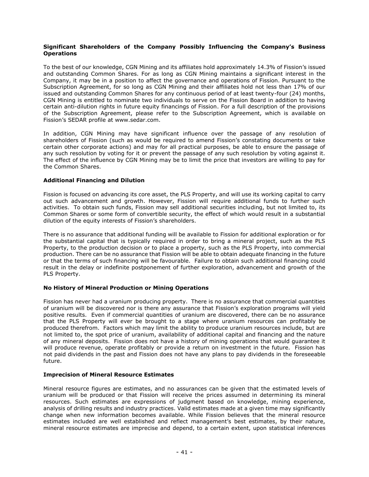# <span id="page-41-0"></span>**Significant Shareholders of the Company Possibly Influencing the Company's Business Operations**

To the best of our knowledge, CGN Mining and its affiliates hold approximately 14.3% of Fission's issued and outstanding Common Shares. For as long as CGN Mining maintains a significant interest in the Company, it may be in a position to affect the governance and operations of Fission. Pursuant to the Subscription Agreement, for so long as CGN Mining and their affiliates hold not less than 17% of our issued and outstanding Common Shares for any continuous period of at least twenty-four (24) months, CGN Mining is entitled to nominate two individuals to serve on the Fission Board in addition to having certain anti-dilution rights in future equity financings of Fission. For a full description of the provisions of the Subscription Agreement, please refer to the Subscription Agreement, which is available on Fission's SEDAR profile at www.sedar.com.

In addition, CGN Mining may have significant influence over the passage of any resolution of shareholders of Fission (such as would be required to amend Fission's constating documents or take certain other corporate actions) and may for all practical purposes, be able to ensure the passage of any such resolution by voting for it or prevent the passage of any such resolution by voting against it. The effect of the influence by CGN Mining may be to limit the price that investors are willing to pay for the Common Shares.

# <span id="page-41-1"></span>**Additional Financing and Dilution**

Fission is focused on advancing its core asset, the PLS Property, and will use its working capital to carry out such advancement and growth. However, Fission will require additional funds to further such activities. To obtain such funds, Fission may sell additional securities including, but not limited to, its Common Shares or some form of convertible security, the effect of which would result in a substantial dilution of the equity interests of Fission's shareholders.

There is no assurance that additional funding will be available to Fission for additional exploration or for the substantial capital that is typically required in order to bring a mineral project, such as the PLS Property, to the production decision or to place a property, such as the PLS Property, into commercial production. There can be no assurance that Fission will be able to obtain adequate financing in the future or that the terms of such financing will be favourable. Failure to obtain such additional financing could result in the delay or indefinite postponement of further exploration, advancement and growth of the PLS Property.

# <span id="page-41-2"></span>**No History of Mineral Production or Mining Operations**

Fission has never had a uranium producing property. There is no assurance that commercial quantities of uranium will be discovered nor is there any assurance that Fission's exploration programs will yield positive results. Even if commercial quantities of uranium are discovered, there can be no assurance that the PLS Property will ever be brought to a stage where uranium resources can profitably be produced therefrom. Factors which may limit the ability to produce uranium resources include, but are not limited to, the spot price of uranium, availability of additional capital and financing and the nature of any mineral deposits. Fission does not have a history of mining operations that would guarantee it will produce revenue, operate profitably or provide a return on investment in the future. Fission has not paid dividends in the past and Fission does not have any plans to pay dividends in the foreseeable future.

# <span id="page-41-3"></span>**Imprecision of Mineral Resource Estimates**

Mineral resource figures are estimates, and no assurances can be given that the estimated levels of uranium will be produced or that Fission will receive the prices assumed in determining its mineral resources. Such estimates are expressions of judgment based on knowledge, mining experience, analysis of drilling results and industry practices. Valid estimates made at a given time may significantly change when new information becomes available. While Fission believes that the mineral resource estimates included are well established and reflect management's best estimates, by their nature, mineral resource estimates are imprecise and depend, to a certain extent, upon statistical inferences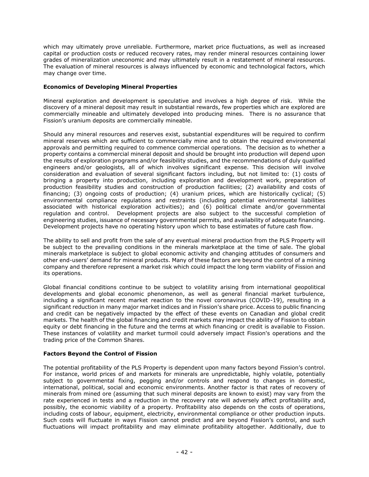which may ultimately prove unreliable. Furthermore, market price fluctuations, as well as increased capital or production costs or reduced recovery rates, may render mineral resources containing lower grades of mineralization uneconomic and may ultimately result in a restatement of mineral resources. The evaluation of mineral resources is always influenced by economic and technological factors, which may change over time.

# <span id="page-42-0"></span>**Economics of Developing Mineral Properties**

Mineral exploration and development is speculative and involves a high degree of risk. While the discovery of a mineral deposit may result in substantial rewards, few properties which are explored are commercially mineable and ultimately developed into producing mines. There is no assurance that Fission's uranium deposits are commercially mineable.

Should any mineral resources and reserves exist, substantial expenditures will be required to confirm mineral reserves which are sufficient to commercially mine and to obtain the required environmental approvals and permitting required to commence commercial operations. The decision as to whether a property contains a commercial mineral deposit and should be brought into production will depend upon the results of exploration programs and/or feasibility studies, and the recommendations of duly qualified engineers and/or geologists, all of which involves significant expense. This decision will involve consideration and evaluation of several significant factors including, but not limited to: (1) costs of bringing a property into production, including exploration and development work, preparation of production feasibility studies and construction of production facilities; (2) availability and costs of financing; (3) ongoing costs of production; (4) uranium prices, which are historically cyclical; (5) environmental compliance regulations and restraints (including potential environmental liabilities associated with historical exploration activities); and (6) political climate and/or governmental regulation and control. Development projects are also subject to the successful completion of engineering studies, issuance of necessary governmental permits, and availability of adequate financing. Development projects have no operating history upon which to base estimates of future cash flow.

The ability to sell and profit from the sale of any eventual mineral production from the PLS Property will be subject to the prevailing conditions in the minerals marketplace at the time of sale. The global minerals marketplace is subject to global economic activity and changing attitudes of consumers and other end-users' demand for mineral products. Many of these factors are beyond the control of a mining company and therefore represent a market risk which could impact the long term viability of Fission and its operations.

Global financial conditions continue to be subject to volatility arising from international geopolitical developments and global economic phenomenon, as well as general financial market turbulence, including a significant recent market reaction to the novel coronavirus (COVID-19), resulting in a significant reduction in many major market indices and in Fission's share price. Access to public financing and credit can be negatively impacted by the effect of these events on Canadian and global credit markets. The health of the global financing and credit markets may impact the ability of Fission to obtain equity or debt financing in the future and the terms at which financing or credit is available to Fission. These instances of volatility and market turmoil could adversely impact Fission's operations and the trading price of the Common Shares.

# <span id="page-42-1"></span>**Factors Beyond the Control of Fission**

The potential profitability of the PLS Property is dependent upon many factors beyond Fission's control. For instance, world prices of and markets for minerals are unpredictable, highly volatile, potentially subject to governmental fixing, pegging and/or controls and respond to changes in domestic, international, political, social and economic environments. Another factor is that rates of recovery of minerals from mined ore (assuming that such mineral deposits are known to exist) may vary from the rate experienced in tests and a reduction in the recovery rate will adversely affect profitability and, possibly, the economic viability of a property. Profitability also depends on the costs of operations, including costs of labour, equipment, electricity, environmental compliance or other production inputs. Such costs will fluctuate in ways Fission cannot predict and are beyond Fission's control, and such fluctuations will impact profitability and may eliminate profitability altogether. Additionally, due to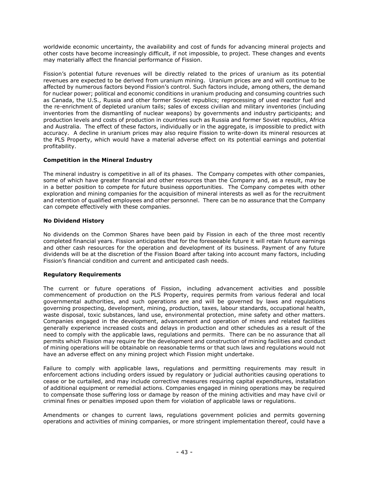worldwide economic uncertainty, the availability and cost of funds for advancing mineral projects and other costs have become increasingly difficult, if not impossible, to project. These changes and events may materially affect the financial performance of Fission.

Fission's potential future revenues will be directly related to the prices of uranium as its potential revenues are expected to be derived from uranium mining. Uranium prices are and will continue to be affected by numerous factors beyond Fission's control. Such factors include, among others, the demand for nuclear power; political and economic conditions in uranium producing and consuming countries such as Canada, the U.S., Russia and other former Soviet republics; reprocessing of used reactor fuel and the re-enrichment of depleted uranium tails; sales of excess civilian and military inventories (including inventories from the dismantling of nuclear weapons) by governments and industry participants; and production levels and costs of production in countries such as Russia and former Soviet republics, Africa and Australia. The effect of these factors, individually or in the aggregate, is impossible to predict with accuracy. A decline in uranium prices may also require Fission to write-down its mineral resources at the PLS Property, which would have a material adverse effect on its potential earnings and potential profitability.

# <span id="page-43-0"></span>**Competition in the Mineral Industry**

The mineral industry is competitive in all of its phases. The Company competes with other companies, some of which have greater financial and other resources than the Company and, as a result, may be in a better position to compete for future business opportunities. The Company competes with other exploration and mining companies for the acquisition of mineral interests as well as for the recruitment and retention of qualified employees and other personnel. There can be no assurance that the Company can compete effectively with these companies.

# <span id="page-43-1"></span>**No Dividend History**

No dividends on the Common Shares have been paid by Fission in each of the three most recently completed financial years. Fission anticipates that for the foreseeable future it will retain future earnings and other cash resources for the operation and development of its business. Payment of any future dividends will be at the discretion of the Fission Board after taking into account many factors, including Fission's financial condition and current and anticipated cash needs.

# <span id="page-43-2"></span>**Regulatory Requirements**

The current or future operations of Fission, including advancement activities and possible commencement of production on the PLS Property, requires permits from various federal and local governmental authorities, and such operations are and will be governed by laws and regulations governing prospecting, development, mining, production, taxes, labour standards, occupational health, waste disposal, toxic substances, land use, environmental protection, mine safety and other matters. Companies engaged in the development, advancement and operation of mines and related facilities generally experience increased costs and delays in production and other schedules as a result of the need to comply with the applicable laws, regulations and permits. There can be no assurance that all permits which Fission may require for the development and construction of mining facilities and conduct of mining operations will be obtainable on reasonable terms or that such laws and regulations would not have an adverse effect on any mining project which Fission might undertake.

Failure to comply with applicable laws, regulations and permitting requirements may result in enforcement actions including orders issued by regulatory or judicial authorities causing operations to cease or be curtailed, and may include corrective measures requiring capital expenditures, installation of additional equipment or remedial actions. Companies engaged in mining operations may be required to compensate those suffering loss or damage by reason of the mining activities and may have civil or criminal fines or penalties imposed upon them for violation of applicable laws or regulations.

Amendments or changes to current laws, regulations government policies and permits governing operations and activities of mining companies, or more stringent implementation thereof, could have a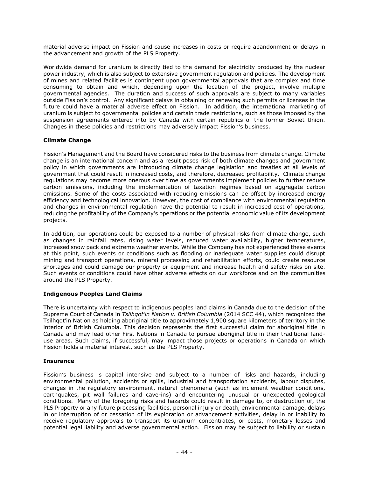material adverse impact on Fission and cause increases in costs or require abandonment or delays in the advancement and growth of the PLS Property.

Worldwide demand for uranium is directly tied to the demand for electricity produced by the nuclear power industry, which is also subject to extensive government regulation and policies. The development of mines and related facilities is contingent upon governmental approvals that are complex and time consuming to obtain and which, depending upon the location of the project, involve multiple governmental agencies. The duration and success of such approvals are subject to many variables outside Fission's control. Any significant delays in obtaining or renewing such permits or licenses in the future could have a material adverse effect on Fission. In addition, the international marketing of uranium is subject to governmental policies and certain trade restrictions, such as those imposed by the suspension agreements entered into by Canada with certain republics of the former Soviet Union. Changes in these policies and restrictions may adversely impact Fission's business.

# <span id="page-44-0"></span>**Climate Change**

Fission's Management and the Board have considered risks to the business from climate change. Climate change is an international concern and as a result poses risk of both climate changes and government policy in which governments are introducing climate change legislation and treaties at all levels of government that could result in increased costs, and therefore, decreased profitability. Climate change regulations may become more onerous over time as governments implement policies to further reduce carbon emissions, including the implementation of taxation regimes based on aggregate carbon emissions. Some of the costs associated with reducing emissions can be offset by increased energy efficiency and technological innovation. However, the cost of compliance with environmental regulation and changes in environmental regulation have the potential to result in increased cost of operations, reducing the profitability of the Company's operations or the potential economic value of its development projects.

In addition, our operations could be exposed to a number of physical risks from climate change, such as changes in rainfall rates, rising water levels, reduced water availability, higher temperatures, increased snow pack and extreme weather events. While the Company has not experienced these events at this point, such events or conditions such as flooding or inadequate water supplies could disrupt mining and transport operations, mineral processing and rehabilitation efforts, could create resource shortages and could damage our property or equipment and increase health and safety risks on site. Such events or conditions could have other adverse effects on our workforce and on the communities around the PLS Property.

# <span id="page-44-1"></span>**Indigenous Peoples Land Claims**

There is uncertainty with respect to indigenous peoples land claims in Canada due to the decision of the Supreme Court of Canada in *Tsilhqot'in Nation v. British Columbia* (2014 SCC 44), which recognized the Tsilhqot'in Nation as holding aboriginal title to approximately 1,900 square kilometers of territory in the interior of British Columbia. This decision represents the first successful claim for aboriginal title in Canada and may lead other First Nations in Canada to pursue aboriginal title in their traditional landuse areas. Such claims, if successful, may impact those projects or operations in Canada on which Fission holds a material interest, such as the PLS Property.

# <span id="page-44-2"></span>**Insurance**

Fission's business is capital intensive and subject to a number of risks and hazards, including environmental pollution, accidents or spills, industrial and transportation accidents, labour disputes, changes in the regulatory environment, natural phenomena (such as inclement weather conditions, earthquakes, pit wall failures and cave-ins) and encountering unusual or unexpected geological conditions. Many of the foregoing risks and hazards could result in damage to, or destruction of, the PLS Property or any future processing facilities, personal injury or death, environmental damage, delays in or interruption of or cessation of its exploration or advancement activities, delay in or inability to receive regulatory approvals to transport its uranium concentrates, or costs, monetary losses and potential legal liability and adverse governmental action. Fission may be subject to liability or sustain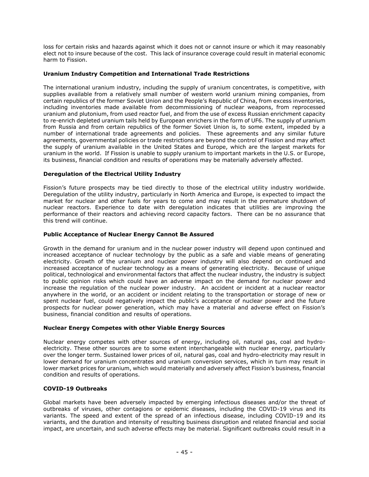loss for certain risks and hazards against which it does not or cannot insure or which it may reasonably elect not to insure because of the cost. This lack of insurance coverage could result in material economic harm to Fission.

# <span id="page-45-0"></span>**Uranium Industry Competition and International Trade Restrictions**

The international uranium industry, including the supply of uranium concentrates, is competitive, with supplies available from a relatively small number of western world uranium mining companies, from certain republics of the former Soviet Union and the People's Republic of China, from excess inventories, including inventories made available from decommissioning of nuclear weapons, from reprocessed uranium and plutonium, from used reactor fuel, and from the use of excess Russian enrichment capacity to re-enrich depleted uranium tails held by European enrichers in the form of UF6. The supply of uranium from Russia and from certain republics of the former Soviet Union is, to some extent, impeded by a number of international trade agreements and policies. These agreements and any similar future agreements, governmental policies or trade restrictions are beyond the control of Fission and may affect the supply of uranium available in the United States and Europe, which are the largest markets for uranium in the world. If Fission is unable to supply uranium to important markets in the U.S. or Europe, its business, financial condition and results of operations may be materially adversely affected.

# <span id="page-45-1"></span>**Deregulation of the Electrical Utility Industry**

Fission's future prospects may be tied directly to those of the electrical utility industry worldwide. Deregulation of the utility industry, particularly in North America and Europe, is expected to impact the market for nuclear and other fuels for years to come and may result in the premature shutdown of nuclear reactors. Experience to date with deregulation indicates that utilities are improving the performance of their reactors and achieving record capacity factors. There can be no assurance that this trend will continue.

# <span id="page-45-2"></span>**Public Acceptance of Nuclear Energy Cannot Be Assured**

Growth in the demand for uranium and in the nuclear power industry will depend upon continued and increased acceptance of nuclear technology by the public as a safe and viable means of generating electricity. Growth of the uranium and nuclear power industry will also depend on continued and increased acceptance of nuclear technology as a means of generating electricity. Because of unique political, technological and environmental factors that affect the nuclear industry, the industry is subject to public opinion risks which could have an adverse impact on the demand for nuclear power and increase the regulation of the nuclear power industry. An accident or incident at a nuclear reactor anywhere in the world, or an accident or incident relating to the transportation or storage of new or spent nuclear fuel, could negatively impact the public's acceptance of nuclear power and the future prospects for nuclear power generation, which may have a material and adverse effect on Fission's business, financial condition and results of operations.

# <span id="page-45-3"></span>**Nuclear Energy Competes with other Viable Energy Sources**

Nuclear energy competes with other sources of energy, including oil, natural gas, coal and hydroelectricity. These other sources are to some extent interchangeable with nuclear energy, particularly over the longer term. Sustained lower prices of oil, natural gas, coal and hydro-electricity may result in lower demand for uranium concentrates and uranium conversion services, which in turn may result in lower market prices for uranium, which would materially and adversely affect Fission's business, financial condition and results of operations.

# <span id="page-45-4"></span>**COVID-19 Outbreaks**

Global markets have been adversely impacted by emerging infectious diseases and/or the threat of outbreaks of viruses, other contagions or epidemic diseases, including the COVID-19 virus and its variants. The speed and extent of the spread of an infectious disease, including COVID-19 and its variants, and the duration and intensity of resulting business disruption and related financial and social impact, are uncertain, and such adverse effects may be material. Significant outbreaks could result in a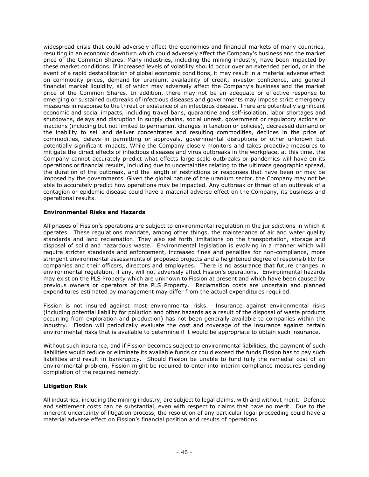widespread crisis that could adversely affect the economies and financial markets of many countries, resulting in an economic downturn which could adversely affect the Company's business and the market price of the Common Shares. Many industries, including the mining industry, have been impacted by these market conditions. If increased levels of volatility should occur over an extended period, or in the event of a rapid destabilization of global economic conditions, it may result in a material adverse effect on commodity prices, demand for uranium, availability of credit, investor confidence, and general financial market liquidity, all of which may adversely affect the Company's business and the market price of the Common Shares. In addition, there may not be an adequate or effective response to emerging or sustained outbreaks of infectious diseases and governments may impose strict emergency measures in response to the threat or existence of an infectious disease. There are potentially significant economic and social impacts, including travel bans, quarantine and self-isolation, labor shortages and shutdowns, delays and disruption in supply chains, social unrest, government or regulatory actions or inactions (including but not limited to permanent changes in taxation or policies), decreased demand or the inability to sell and deliver concentrates and resulting commodities, declines in the price of commodities, delays in permitting or approvals, governmental disruptions or other unknown but potentially significant impacts. While the Company closely monitors and takes proactive measures to mitigate the direct effects of infectious diseases and virus outbreaks in the workplace, at this time, the Company cannot accurately predict what effects large scale outbreaks or pandemics will have on its operations or financial results, including due to uncertainties relating to the ultimate geographic spread, the duration of the outbreak, and the length of restrictions or responses that have been or may be imposed by the governments. Given the global nature of the uranium sector, the Company may not be able to accurately predict how operations may be impacted. Any outbreak or threat of an outbreak of a contagion or epidemic disease could have a material adverse effect on the Company, its business and operational results.

# <span id="page-46-0"></span>**Environmental Risks and Hazards**

All phases of Fission's operations are subject to environmental regulation in the jurisdictions in which it operates. These regulations mandate, among other things, the maintenance of air and water quality standards and land reclamation. They also set forth limitations on the transportation, storage and disposal of solid and hazardous waste. Environmental legislation is evolving in a manner which will require stricter standards and enforcement, increased fines and penalties for non-compliance, more stringent environmental assessments of proposed projects and a heightened degree of responsibility for companies and their officers, directors and employees. There is no assurance that future changes in environmental regulation, if any, will not adversely affect Fission's operations. Environmental hazards may exist on the PLS Property which are unknown to Fission at present and which have been caused by previous owners or operators of the PLS Property. Reclamation costs are uncertain and planned expenditures estimated by management may differ from the actual expenditures required.

Fission is not insured against most environmental risks. Insurance against environmental risks (including potential liability for pollution and other hazards as a result of the disposal of waste products occurring from exploration and production) has not been generally available to companies within the industry. Fission will periodically evaluate the cost and coverage of the insurance against certain environmental risks that is available to determine if it would be appropriate to obtain such insurance.

Without such insurance, and if Fission becomes subject to environmental liabilities, the payment of such liabilities would reduce or eliminate its available funds or could exceed the funds Fission has to pay such liabilities and result in bankruptcy. Should Fission be unable to fund fully the remedial cost of an environmental problem, Fission might be required to enter into interim compliance measures pending completion of the required remedy.

# <span id="page-46-1"></span>**Litigation Risk**

All industries, including the mining industry, are subject to legal claims, with and without merit. Defence and settlement costs can be substantial, even with respect to claims that have no merit. Due to the inherent uncertainty of litigation process, the resolution of any particular legal proceeding could have a material adverse effect on Fission's financial position and results of operations.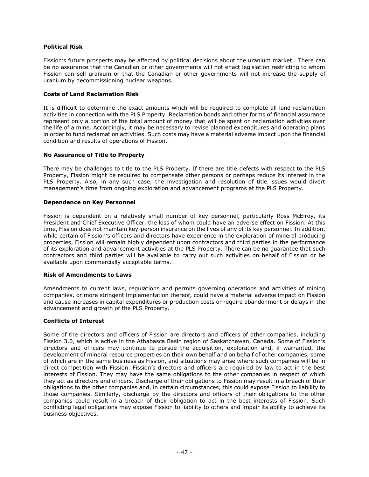# <span id="page-47-0"></span>**Political Risk**

Fission's future prospects may be affected by political decisions about the uranium market. There can be no assurance that the Canadian or other governments will not enact legislation restricting to whom Fission can sell uranium or that the Canadian or other governments will not increase the supply of uranium by decommissioning nuclear weapons.

# <span id="page-47-1"></span>**Costs of Land Reclamation Risk**

It is difficult to determine the exact amounts which will be required to complete all land reclamation activities in connection with the PLS Property. Reclamation bonds and other forms of financial assurance represent only a portion of the total amount of money that will be spent on reclamation activities over the life of a mine. Accordingly, it may be necessary to revise planned expenditures and operating plans in order to fund reclamation activities. Such costs may have a material adverse impact upon the financial condition and results of operations of Fission.

#### <span id="page-47-2"></span>**No Assurance of Title to Property**

There may be challenges to title to the PLS Property. If there are title defects with respect to the PLS Property, Fission might be required to compensate other persons or perhaps reduce its interest in the PLS Property. Also, in any such case, the investigation and resolution of title issues would divert management's time from ongoing exploration and advancement programs at the PLS Property.

#### <span id="page-47-3"></span>**Dependence on Key Personnel**

Fission is dependent on a relatively small number of key personnel, particularly Ross McElroy, its President and Chief Executive Officer, the loss of whom could have an adverse effect on Fission. At this time, Fission does not maintain key-person insurance on the lives of any of its key personnel. In addition, while certain of Fission's officers and directors have experience in the exploration of mineral producing properties, Fission will remain highly dependent upon contractors and third parties in the performance of its exploration and advancement activities at the PLS Property. There can be no guarantee that such contractors and third parties will be available to carry out such activities on behalf of Fission or be available upon commercially acceptable terms.

# <span id="page-47-4"></span>**Risk of Amendments to Laws**

Amendments to current laws, regulations and permits governing operations and activities of mining companies, or more stringent implementation thereof, could have a material adverse impact on Fission and cause increases in capital expenditures or production costs or require abandonment or delays in the advancement and growth of the PLS Property.

# <span id="page-47-5"></span>**Conflicts of Interest**

Some of the directors and officers of Fission are directors and officers of other companies, including Fission 3.0, which is active in the Athabasca Basin region of Saskatchewan, Canada. Some of Fission's directors and officers may continue to pursue the acquisition, exploration and, if warranted, the development of mineral resource properties on their own behalf and on behalf of other companies, some of which are in the same business as Fission, and situations may arise where such companies will be in direct competition with Fission. Fission's directors and officers are required by law to act in the best interests of Fission. They may have the same obligations to the other companies in respect of which they act as directors and officers. Discharge of their obligations to Fission may result in a breach of their obligations to the other companies and, in certain circumstances, this could expose Fission to liability to those companies. Similarly, discharge by the directors and officers of their obligations to the other companies could result in a breach of their obligation to act in the best interests of Fission. Such conflicting legal obligations may expose Fission to liability to others and impair its ability to achieve its business objectives.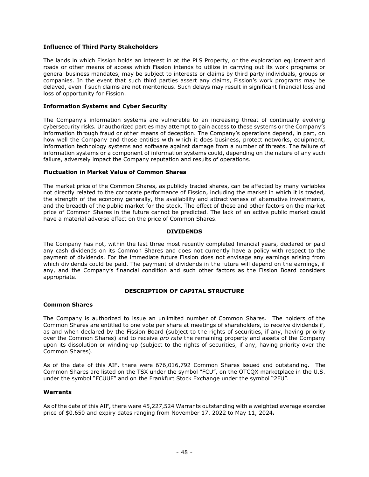#### <span id="page-48-0"></span>**Influence of Third Party Stakeholders**

The lands in which Fission holds an interest in at the PLS Property, or the exploration equipment and roads or other means of access which Fission intends to utilize in carrying out its work programs or general business mandates, may be subject to interests or claims by third party individuals, groups or companies. In the event that such third parties assert any claims, Fission's work programs may be delayed, even if such claims are not meritorious. Such delays may result in significant financial loss and loss of opportunity for Fission.

#### <span id="page-48-1"></span>**Information Systems and Cyber Security**

The Company's information systems are vulnerable to an increasing threat of continually evolving cybersecurity risks. Unauthorized parties may attempt to gain access to these systems or the Company's information through fraud or other means of deception. The Company's operations depend, in part, on how well the Company and those entities with which it does business, protect networks, equipment, information technology systems and software against damage from a number of threats. The failure of information systems or a component of information systems could, depending on the nature of any such failure, adversely impact the Company reputation and results of operations.

#### <span id="page-48-2"></span>**Fluctuation in Market Value of Common Shares**

The market price of the Common Shares, as publicly traded shares, can be affected by many variables not directly related to the corporate performance of Fission, including the market in which it is traded, the strength of the economy generally, the availability and attractiveness of alternative investments, and the breadth of the public market for the stock. The effect of these and other factors on the market price of Common Shares in the future cannot be predicted. The lack of an active public market could have a material adverse effect on the price of Common Shares.

#### **DIVIDENDS**

<span id="page-48-3"></span>The Company has not, within the last three most recently completed financial years, declared or paid any cash dividends on its Common Shares and does not currently have a policy with respect to the payment of dividends. For the immediate future Fission does not envisage any earnings arising from which dividends could be paid. The payment of dividends in the future will depend on the earnings, if any, and the Company's financial condition and such other factors as the Fission Board considers appropriate.

#### **DESCRIPTION OF CAPITAL STRUCTURE**

#### <span id="page-48-5"></span><span id="page-48-4"></span>**Common Shares**

The Company is authorized to issue an unlimited number of Common Shares. The holders of the Common Shares are entitled to one vote per share at meetings of shareholders, to receive dividends if, as and when declared by the Fission Board (subject to the rights of securities, if any, having priority over the Common Shares) and to receive *pro rata* the remaining property and assets of the Company upon its dissolution or winding-up (subject to the rights of securities, if any, having priority over the Common Shares).

As of the date of this AIF, there were 676,016,792 Common Shares issued and outstanding. The Common Shares are listed on the TSX under the symbol "FCU", on the OTCQX marketplace in the U.S. under the symbol "FCUUF" and on the Frankfurt Stock Exchange under the symbol "2FU".

#### <span id="page-48-6"></span>**Warrants**

As of the date of this AIF, there were 45,227,524 Warrants outstanding with a weighted average exercise price of \$0.650 and expiry dates ranging from November 17, 2022 to May 11, 2024**.**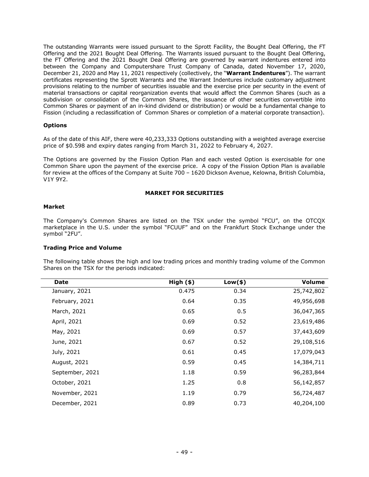The outstanding Warrants were issued pursuant to the Sprott Facility, the Bought Deal Offering, the FT Offering and the 2021 Bought Deal Offering. The Warrants issued pursuant to the Bought Deal Offering, the FT Offering and the 2021 Bought Deal Offering are governed by warrant indentures entered into between the Company and Computershare Trust Company of Canada, dated November 17, 2020, December 21, 2020 and May 11, 2021 respectively (collectively, the "**Warrant Indentures**"). The warrant certificates representing the Sprott Warrants and the Warrant Indentures include customary adjustment provisions relating to the number of securities issuable and the exercise price per security in the event of material transactions or capital reorganization events that would affect the Common Shares (such as a subdivision or consolidation of the Common Shares, the issuance of other securities convertible into Common Shares or payment of an in-kind dividend or distribution) or would be a fundamental change to Fission (including a reclassification of Common Shares or completion of a material corporate transaction).

#### <span id="page-49-0"></span>**Options**

As of the date of this AIF, there were 40,233,333 Options outstanding with a weighted average exercise price of \$0.598 and expiry dates ranging from March 31, 2022 to February 4, 2027.

The Options are governed by the Fission Option Plan and each vested Option is exercisable for one Common Share upon the payment of the exercise price. A copy of the Fission Option Plan is available for review at the offices of the Company at Suite 700 – 1620 Dickson Avenue, Kelowna, British Columbia, V1Y 9Y2.

#### **MARKET FOR SECURITIES**

#### <span id="page-49-2"></span><span id="page-49-1"></span>**Market**

The Company's Common Shares are listed on the TSX under the symbol "FCU", on the OTCQX marketplace in the U.S. under the symbol "FCUUF" and on the Frankfurt Stock Exchange under the symbol "2FU".

# <span id="page-49-3"></span>**Trading Price and Volume**

The following table shows the high and low trading prices and monthly trading volume of the Common Shares on the TSX for the periods indicated:

| Date            | High ( \$ ) | $Low($ \$) | <b>Volume</b> |
|-----------------|-------------|------------|---------------|
| January, 2021   | 0.475       | 0.34       | 25,742,802    |
| February, 2021  | 0.64        | 0.35       | 49,956,698    |
| March, 2021     | 0.65        | 0.5        | 36,047,365    |
| April, 2021     | 0.69        | 0.52       | 23,619,486    |
| May, 2021       | 0.69        | 0.57       | 37,443,609    |
| June, 2021      | 0.67        | 0.52       | 29,108,516    |
| July, 2021      | 0.61        | 0.45       | 17,079,043    |
| August, 2021    | 0.59        | 0.45       | 14,384,711    |
| September, 2021 | 1.18        | 0.59       | 96,283,844    |
| October, 2021   | 1.25        | 0.8        | 56,142,857    |
| November, 2021  | 1.19        | 0.79       | 56,724,487    |
| December, 2021  | 0.89        | 0.73       | 40,204,100    |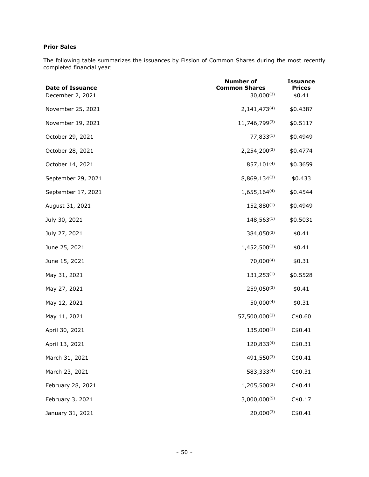# <span id="page-50-0"></span>**Prior Sales**

The following table summarizes the issuances by Fission of Common Shares during the most recently completed financial year:

| <b>Date of Issuance</b> | <b>Number of</b><br><b>Common Shares</b> | <b>Issuance</b><br><b>Prices</b> |
|-------------------------|------------------------------------------|----------------------------------|
| December 2, 2021        | $30,000^{(3)}$                           | \$0.41                           |
| November 25, 2021       | $2,141,473^{(4)}$                        | \$0.4387                         |
| November 19, 2021       | 11,746,799(3)                            | \$0.5117                         |
| October 29, 2021        | 77,833(1)                                | \$0.4949                         |
| October 28, 2021        | $2,254,200^{(3)}$                        | \$0.4774                         |
| October 14, 2021        | 857,101 <sup>(4)</sup>                   | \$0.3659                         |
| September 29, 2021      | 8,869,134(3)                             | \$0.433                          |
| September 17, 2021      | $1,655,164^{(4)}$                        | \$0.4544                         |
| August 31, 2021         | 152,880(1)                               | \$0.4949                         |
| July 30, 2021           | $148,563^{(1)}$                          | \$0.5031                         |
| July 27, 2021           | 384,050(3)                               | \$0.41                           |
| June 25, 2021           | 1,452,500(3)                             | \$0.41                           |
| June 15, 2021           | $70,000^{(4)}$                           | \$0.31                           |
| May 31, 2021            | $131,253^{(1)}$                          | \$0.5528                         |
| May 27, 2021            | $259,050^{(3)}$                          | \$0.41                           |
| May 12, 2021            | $50,000^{(4)}$                           | \$0.31                           |
| May 11, 2021            | 57,500,000(2)                            | C\$0.60                          |
| April 30, 2021          | $135,000^{(3)}$                          | C\$0.41                          |
| April 13, 2021          | 120,833(4)                               | C\$0.31                          |
| March 31, 2021          | 491,550(3)                               | C\$0.41                          |
| March 23, 2021          | 583,333(4)                               | C\$0.31                          |
| February 28, 2021       | 1,205,500(3)                             | C\$0.41                          |
| February 3, 2021        | $3,000,000^{(5)}$                        | C\$0.17                          |
| January 31, 2021        | $20,000^{(3)}$                           | C\$0.41                          |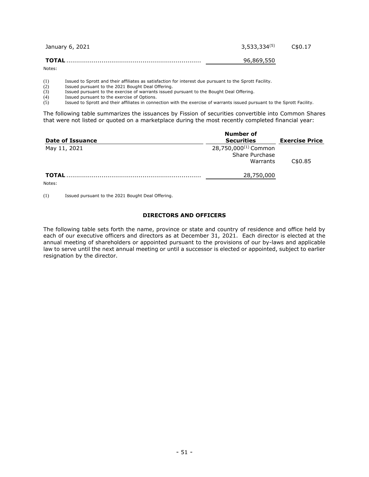| January 6, 2021 | $3,533,334^{(5)}$ | C\$0.17 |
|-----------------|-------------------|---------|
|                 | 96,869,550        |         |

Notes:

(1) Issued to Sprott and their affiliates as satisfaction for interest due pursuant to the Sprott Facility.

 $(2)$  Issued pursuant to the 2021 Bought Deal Offering.<br> $(3)$  Issued pursuant to the exercise of warrants issued

(3) Issued pursuant to the exercise of warrants issued pursuant to the Bought Deal Offering.<br>(4) Issued pursuant to the exercise of Options.

Issued pursuant to the exercise of Options.

(5) Issued to Sprott and their affiliates in connection with the exercise of warrants issued pursuant to the Sprott Facility.

The following table summarizes the issuances by Fission of securities convertible into Common Shares that were not listed or quoted on a marketplace during the most recently completed financial year:

| Date of Issuance | Number of<br><b>Securities</b>                                 | <b>Exercise Price</b> |
|------------------|----------------------------------------------------------------|-----------------------|
| May 11, 2021     | 28,750,000 <sup>(1)</sup> Common<br>Share Purchase<br>Warrants | C\$0.85               |
| <b>TOTAL</b>     | 28,750,000                                                     |                       |

Notes:

(1) Issued pursuant to the 2021 Bought Deal Offering.

# **DIRECTORS AND OFFICERS**

<span id="page-51-0"></span>The following table sets forth the name, province or state and country of residence and office held by each of our executive officers and directors as at December 31, 2021. Each director is elected at the annual meeting of shareholders or appointed pursuant to the provisions of our by-laws and applicable law to serve until the next annual meeting or until a successor is elected or appointed, subject to earlier resignation by the director.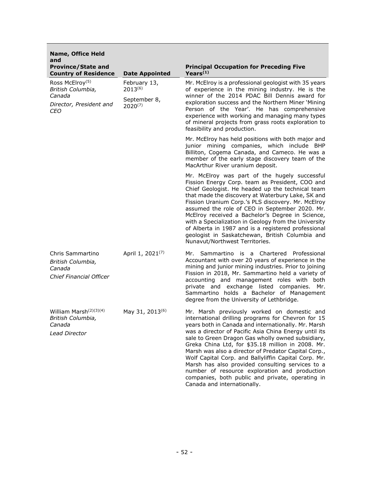| Name, Office Held<br>and                                                                     |                                                              |                                                                                                                                                                                                                                                                                                                                                                                                                                                                                                                                                                                                                                     |  |
|----------------------------------------------------------------------------------------------|--------------------------------------------------------------|-------------------------------------------------------------------------------------------------------------------------------------------------------------------------------------------------------------------------------------------------------------------------------------------------------------------------------------------------------------------------------------------------------------------------------------------------------------------------------------------------------------------------------------------------------------------------------------------------------------------------------------|--|
| <b>Province/State and</b><br><b>Country of Residence</b>                                     | <b>Date Appointed</b>                                        | <b>Principal Occupation for Preceding Five</b><br>Years $(1)$                                                                                                                                                                                                                                                                                                                                                                                                                                                                                                                                                                       |  |
| Ross McElroy <sup>(5)</sup><br>British Columbia,<br>Canada<br>Director, President and<br>CEO | February 13,<br>$2013^{(6)}$<br>September 8,<br>$2020^{(7)}$ | Mr. McElroy is a professional geologist with 35 years<br>of experience in the mining industry. He is the<br>winner of the 2014 PDAC Bill Dennis award for<br>exploration success and the Northern Miner 'Mining<br>Person of the Year'. He has comprehensive<br>experience with working and managing many types<br>of mineral projects from grass roots exploration to<br>feasibility and production.                                                                                                                                                                                                                               |  |
|                                                                                              |                                                              | Mr. McElroy has held positions with both major and<br>junior mining companies, which include BHP<br>Billiton, Cogema Canada, and Cameco. He was a<br>member of the early stage discovery team of the<br>MacArthur River uranium deposit.                                                                                                                                                                                                                                                                                                                                                                                            |  |
|                                                                                              |                                                              | Mr. McElroy was part of the hugely successful<br>Fission Energy Corp. team as President, COO and<br>Chief Geologist. He headed up the technical team<br>that made the discovery at Waterbury Lake, SK and<br>Fission Uranium Corp.'s PLS discovery. Mr. McElroy<br>assumed the role of CEO in September 2020. Mr.<br>McElroy received a Bachelor's Degree in Science,<br>with a Specialization in Geology from the University<br>of Alberta in 1987 and is a registered professional<br>geologist in Saskatchewan, British Columbia and<br>Nunavut/Northwest Territories.                                                           |  |
| Chris Sammartino<br>British Columbia,<br>Canada<br><b>Chief Financial Officer</b>            | April 1, 2021 <sup>(7)</sup>                                 | Sammartino is a Chartered<br>Professional<br>Mr. I<br>Accountant with over 20 years of experience in the<br>mining and junior mining industries. Prior to joining<br>Fission in 2018, Mr. Sammartino held a variety of<br>accounting and management roles with both<br>private and exchange listed companies.<br>Mr.<br>Sammartino holds a Bachelor of Management<br>degree from the University of Lethbridge.                                                                                                                                                                                                                      |  |
| William Marsh $(2)(3)(4)$<br>British Columbia,<br>Canada<br><b>Lead Director</b>             | May 31, 2013 <sup>(6)</sup>                                  | Mr. Marsh previously worked on domestic and<br>international drilling programs for Chevron for 15<br>years both in Canada and internationally. Mr. Marsh<br>was a director of Pacific Asia China Energy until its<br>sale to Green Dragon Gas wholly owned subsidiary,<br>Greka China Ltd, for \$35.18 million in 2008. Mr.<br>Marsh was also a director of Predator Capital Corp.,<br>Wolf Capital Corp. and Ballyliffin Capital Corp. Mr.<br>Marsh has also provided consulting services to a<br>number of resource exploration and production<br>companies, both public and private, operating in<br>Canada and internationally. |  |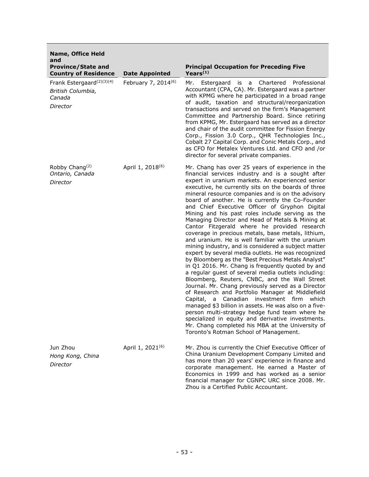| <b>Name, Office Held</b><br>and                                                  |                                 |                                                                                                                                                                                                                                                                                                                                                                                                                                                                                                                                                                                                                                                                                                                                                                                                                                                                                                                                                                                                                                                                                                                                                                                                                                                                                                                                                                                                        |
|----------------------------------------------------------------------------------|---------------------------------|--------------------------------------------------------------------------------------------------------------------------------------------------------------------------------------------------------------------------------------------------------------------------------------------------------------------------------------------------------------------------------------------------------------------------------------------------------------------------------------------------------------------------------------------------------------------------------------------------------------------------------------------------------------------------------------------------------------------------------------------------------------------------------------------------------------------------------------------------------------------------------------------------------------------------------------------------------------------------------------------------------------------------------------------------------------------------------------------------------------------------------------------------------------------------------------------------------------------------------------------------------------------------------------------------------------------------------------------------------------------------------------------------------|
| <b>Province/State and</b><br><b>Country of Residence</b>                         | <b>Date Appointed</b>           | <b>Principal Occupation for Preceding Five</b><br>Years <sup>(1)</sup>                                                                                                                                                                                                                                                                                                                                                                                                                                                                                                                                                                                                                                                                                                                                                                                                                                                                                                                                                                                                                                                                                                                                                                                                                                                                                                                                 |
| Frank Estergaard <sup>(2)(3)(4)</sup><br>British Columbia,<br>Canada<br>Director | February 7, 2014 <sup>(6)</sup> | Mr.<br>Estergaard is a<br>Chartered<br>Professional<br>Accountant (CPA, CA). Mr. Estergaard was a partner<br>with KPMG where he participated in a broad range<br>of audit, taxation and structural/reorganization<br>transactions and served on the firm's Management<br>Committee and Partnership Board. Since retiring<br>from KPMG, Mr. Estergaard has served as a director<br>and chair of the audit committee for Fission Energy<br>Corp., Fission 3.0 Corp., QHR Technologies Inc.,<br>Cobalt 27 Capital Corp. and Conic Metals Corp., and<br>as CFO for Metalex Ventures Ltd. and CFO and /or<br>director for several private companies.                                                                                                                                                                                                                                                                                                                                                                                                                                                                                                                                                                                                                                                                                                                                                        |
| Robby Chang <sup>(2)</sup><br>Ontario, Canada<br>Director                        | April 1, 2018 <sup>(6)</sup>    | Mr. Chang has over 25 years of experience in the<br>financial services industry and is a sought after<br>expert in uranium markets. An experienced senior<br>executive, he currently sits on the boards of three<br>mineral resource companies and is on the advisory<br>board of another. He is currently the Co-Founder<br>and Chief Executive Officer of Gryphon Digital<br>Mining and his past roles include serving as the<br>Managing Director and Head of Metals & Mining at<br>Cantor Fitzgerald where he provided research<br>coverage in precious metals, base metals, lithium,<br>and uranium. He is well familiar with the uranium<br>mining industry, and is considered a subject matter<br>expert by several media outlets. He was recognized<br>by Bloomberg as the "Best Precious Metals Analyst"<br>in Q1 2016. Mr. Chang is frequently quoted by and<br>a regular guest of several media outlets including:<br>Bloomberg, Reuters, CNBC, and the Wall Street<br>Journal. Mr. Chang previously served as a Director<br>of Research and Portfolio Manager at Middlefield<br>Capital, a Canadian investment firm<br>which<br>managed \$3 billion in assets. He was also on a five-<br>person multi-strategy hedge fund team where he<br>specialized in equity and derivative investments.<br>Mr. Chang completed his MBA at the University of<br>Toronto's Rotman School of Management. |
| Jun Zhou<br>Hong Kong, China<br>Director                                         | April 1, 2021 <sup>(6)</sup>    | Mr. Zhou is currently the Chief Executive Officer of<br>China Uranium Development Company Limited and<br>has more than 20 years' experience in finance and<br>corporate management. He earned a Master of<br>Economics in 1999 and has worked as a senior<br>financial manager for CGNPC URC since 2008. Mr.<br>Zhou is a Certified Public Accountant.                                                                                                                                                                                                                                                                                                                                                                                                                                                                                                                                                                                                                                                                                                                                                                                                                                                                                                                                                                                                                                                 |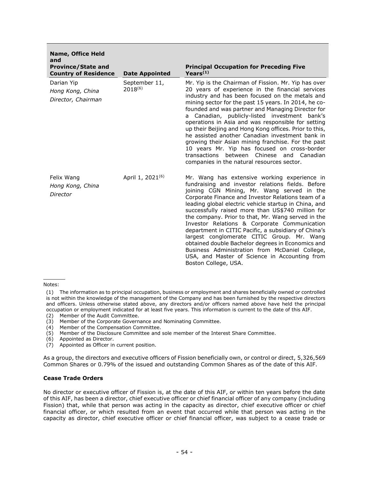| <b>Name, Office Held</b><br>and<br><b>Province/State and</b><br><b>Country of Residence</b> | <b>Date Appointed</b>         | <b>Principal Occupation for Preceding Five</b><br>Years $(1)$                                                                                                                                                                                                                                                                                                                                                                                                                                                                                                                                                                                                                                                   |
|---------------------------------------------------------------------------------------------|-------------------------------|-----------------------------------------------------------------------------------------------------------------------------------------------------------------------------------------------------------------------------------------------------------------------------------------------------------------------------------------------------------------------------------------------------------------------------------------------------------------------------------------------------------------------------------------------------------------------------------------------------------------------------------------------------------------------------------------------------------------|
| Darian Yip<br>Hong Kong, China<br>Director, Chairman                                        | September 11,<br>$2018^{(6)}$ | Mr. Yip is the Chairman of Fission. Mr. Yip has over<br>20 years of experience in the financial services<br>industry and has been focused on the metals and<br>mining sector for the past 15 years. In 2014, he co-<br>founded and was partner and Managing Director for<br>a Canadian, publicly-listed investment bank's<br>operations in Asia and was responsible for setting<br>up their Beijing and Hong Kong offices. Prior to this,<br>he assisted another Canadian investment bank in<br>growing their Asian mining franchise. For the past<br>10 years Mr. Yip has focused on cross-border<br>transactions between<br>Chinese<br>and Canadian<br>companies in the natural resources sector.             |
| Felix Wang<br>Hong Kong, China<br>Director                                                  | April 1, 2021 <sup>(6)</sup>  | Mr. Wang has extensive working experience in<br>fundraising and investor relations fields. Before<br>joining CGN Mining, Mr. Wang served in the<br>Corporate Finance and Investor Relations team of a<br>leading global electric vehicle startup in China, and<br>successfully raised more than US\$740 million for<br>the company. Prior to that, Mr. Wang served in the<br>Investor Relations & Corporate Communication<br>department in CITIC Pacific, a subsidiary of China's<br>largest conglomerate CITIC Group. Mr. Wang<br>obtained double Bachelor degrees in Economics and<br>Business Administration from McDaniel College,<br>USA, and Master of Science in Accounting from<br>Boston College, USA. |

#### Notes:

- (2) Member of the Audit Committee.
- (3) Member of the Corporate Governance and Nominating Committee.
- (4) Member of the Compensation Committee.
- (5) Member of the Disclosure Committee and sole member of the Interest Share Committee.
- (6) Appointed as Director.
- (7) Appointed as Officer in current position.

As a group, the directors and executive officers of Fission beneficially own, or control or direct, 5,326,569 Common Shares or 0.79% of the issued and outstanding Common Shares as of the date of this AIF.

#### <span id="page-54-0"></span>**Cease Trade Orders**

No director or executive officer of Fission is, at the date of this AIF, or within ten years before the date of this AIF, has been a director, chief executive officer or chief financial officer of any company (including Fission) that, while that person was acting in the capacity as director, chief executive officer or chief financial officer, or which resulted from an event that occurred while that person was acting in the capacity as director, chief executive officer or chief financial officer, was subject to a cease trade or

<sup>(1)</sup> The information as to principal occupation, business or employment and shares beneficially owned or controlled is not within the knowledge of the management of the Company and has been furnished by the respective directors and officers. Unless otherwise stated above, any directors and/or officers named above have held the principal occupation or employment indicated for at least five years. This information is current to the date of this AIF.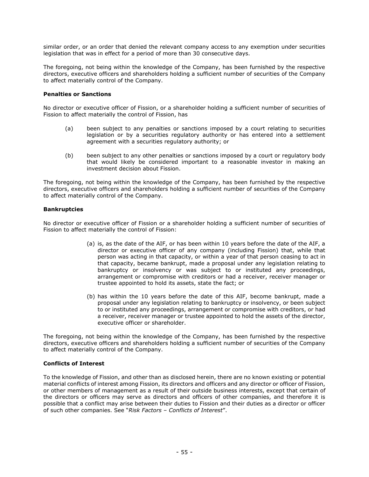similar order, or an order that denied the relevant company access to any exemption under securities legislation that was in effect for a period of more than 30 consecutive days.

The foregoing, not being within the knowledge of the Company, has been furnished by the respective directors, executive officers and shareholders holding a sufficient number of securities of the Company to affect materially control of the Company.

#### <span id="page-55-0"></span>**Penalties or Sanctions**

No director or executive officer of Fission, or a shareholder holding a sufficient number of securities of Fission to affect materially the control of Fission, has

- (a) been subject to any penalties or sanctions imposed by a court relating to securities legislation or by a securities regulatory authority or has entered into a settlement agreement with a securities regulatory authority; or
- (b) been subject to any other penalties or sanctions imposed by a court or regulatory body that would likely be considered important to a reasonable investor in making an investment decision about Fission.

The foregoing, not being within the knowledge of the Company, has been furnished by the respective directors, executive officers and shareholders holding a sufficient number of securities of the Company to affect materially control of the Company.

#### <span id="page-55-1"></span>**Bankruptcies**

No director or executive officer of Fission or a shareholder holding a sufficient number of securities of Fission to affect materially the control of Fission:

- (a) is, as the date of the AIF, or has been within 10 years before the date of the AIF, a director or executive officer of any company (including Fission) that, while that person was acting in that capacity, or within a year of that person ceasing to act in that capacity, became bankrupt, made a proposal under any legislation relating to bankruptcy or insolvency or was subject to or instituted any proceedings, arrangement or compromise with creditors or had a receiver, receiver manager or trustee appointed to hold its assets, state the fact; or
- (b) has within the 10 years before the date of this AIF, become bankrupt, made a proposal under any legislation relating to bankruptcy or insolvency, or been subject to or instituted any proceedings, arrangement or compromise with creditors, or had a receiver, receiver manager or trustee appointed to hold the assets of the director, executive officer or shareholder.

The foregoing, not being within the knowledge of the Company, has been furnished by the respective directors, executive officers and shareholders holding a sufficient number of securities of the Company to affect materially control of the Company.

#### <span id="page-55-2"></span>**Conflicts of Interest**

To the knowledge of Fission, and other than as disclosed herein, there are no known existing or potential material conflicts of interest among Fission, its directors and officers and any director or officer of Fission, or other members of management as a result of their outside business interests, except that certain of the directors or officers may serve as directors and officers of other companies, and therefore it is possible that a conflict may arise between their duties to Fission and their duties as a director or officer of such other companies. See "*Risk Factors – Conflicts of Interest*".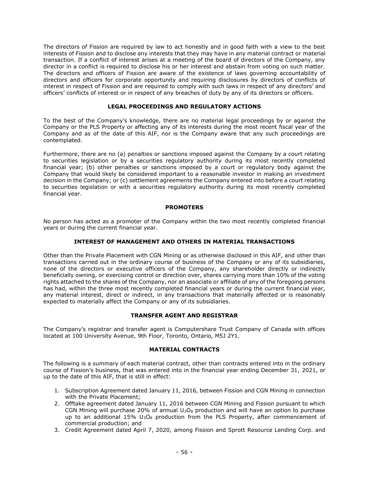The directors of Fission are required by law to act honestly and in good faith with a view to the best interests of Fission and to disclose any interests that they may have in any material contract or material transaction. If a conflict of interest arises at a meeting of the board of directors of the Company, any director in a conflict is required to disclose his or her interest and abstain from voting on such matter. The directors and officers of Fission are aware of the existence of laws governing accountability of directors and officers for corporate opportunity and requiring disclosures by directors of conflicts of interest in respect of Fission and are required to comply with such laws in respect of any directors' and officers' conflicts of interest or in respect of any breaches of duty by any of its directors or officers.

# **LEGAL PROCEEDINGS AND REGULATORY ACTIONS**

<span id="page-56-0"></span>To the best of the Company's knowledge, there are no material legal proceedings by or against the Company or the PLS Property or affecting any of its interests during the most recent fiscal year of the Company and as of the date of this AIF, nor is the Company aware that any such proceedings are contemplated.

Furthermore, there are no (a) penalties or sanctions imposed against the Company by a court relating to securities legislation or by a securities regulatory authority during its most recently completed financial year; (b) other penalties or sanctions imposed by a court or regulatory body against the Company that would likely be considered important to a reasonable investor in making an investment decision in the Company; or (c) settlement agreements the Company entered into before a court relating to securities legislation or with a securities regulatory authority during its most recently completed financial year.

# **PROMOTERS**

<span id="page-56-1"></span>No person has acted as a promoter of the Company within the two most recently completed financial years or during the current financial year.

# **INTEREST OF MANAGEMENT AND OTHERS IN MATERIAL TRANSACTIONS**

<span id="page-56-2"></span>Other than the Private Placement with CGN Mining or as otherwise disclosed in this AIF, and other than transactions carried out in the ordinary course of business of the Company or any of its subsidiaries, none of the directors or executive officers of the Company, any shareholder directly or indirectly beneficially owning, or exercising control or direction over, shares carrying more than 10% of the voting rights attached to the shares of the Company, nor an associate or affiliate of any of the foregoing persons has had, within the three most recently completed financial years or during the current financial year, any material interest, direct or indirect, in any transactions that materially affected or is reasonably expected to materially affect the Company or any of its subsidiaries.

# **TRANSFER AGENT AND REGISTRAR**

<span id="page-56-3"></span>The Company's registrar and transfer agent is Computershare Trust Company of Canada with offices located at 100 University Avenue, 9th Floor, Toronto, Ontario, M5J 2Y1.

# **MATERIAL CONTRACTS**

<span id="page-56-4"></span>The following is a summary of each material contract, other than contracts entered into in the ordinary course of Fission's business, that was entered into in the financial year ending December 31, 2021, or up to the date of this AIF, that is still in effect:

- 1. Subscription Agreement dated January 11, 2016, between Fission and CGN Mining in connection with the Private Placement;
- 2. Offtake agreement dated January 11, 2016 between CGN Mining and Fission pursuant to which CGN Mining will purchase 20% of annual  $U_3O_8$  production and will have an option to purchase up to an additional 15%  $U_3O_8$  production from the PLS Property, after commencement of commercial production; and
- 3. Credit Agreement dated April 7, 2020, among Fission and Sprott Resource Lending Corp. and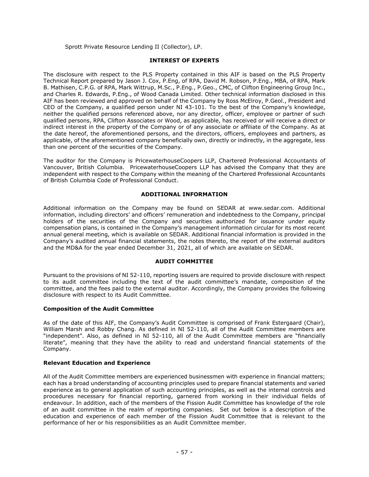Sprott Private Resource Lending II (Collector), LP.

# **INTEREST OF EXPERTS**

<span id="page-57-0"></span>The disclosure with respect to the PLS Property contained in this AIF is based on the PLS Property Technical Report prepared by Jason J. Cox, P.Eng, of RPA, David M. Robson, P.Eng., MBA, of RPA, Mark B. Mathisen, C.P.G. of RPA, Mark Wittrup, M.Sc., P.Eng., P.Geo., CMC, of Clifton Engineering Group Inc., and Charles R. Edwards, P.Eng., of Wood Canada Limited. Other technical information disclosed in this AIF has been reviewed and approved on behalf of the Company by Ross McElroy, P.Geol., President and CEO of the Company, a qualified person under NI 43-101. To the best of the Company's knowledge, neither the qualified persons referenced above, nor any director, officer, employee or partner of such qualified persons, RPA, Clifton Associates or Wood, as applicable, has received or will receive a direct or indirect interest in the property of the Company or of any associate or affiliate of the Company. As at the date hereof, the aforementioned persons, and the directors, officers, employees and partners, as applicable, of the aforementioned company beneficially own, directly or indirectly, in the aggregate, less than one percent of the securities of the Company.

The auditor for the Company is PricewaterhouseCoopers LLP, Chartered Professional Accountants of Vancouver, British Columbia. PricewaterhouseCoopers LLP has advised the Company that they are independent with respect to the Company within the meaning of the Chartered Professional Accountants of British Columbia Code of Professional Conduct.

# **ADDITIONAL INFORMATION**

<span id="page-57-1"></span>Additional information on the Company may be found on SEDAR at www.sedar.com. Additional information, including directors' and officers' remuneration and indebtedness to the Company, principal holders of the securities of the Company and securities authorized for issuance under equity compensation plans, is contained in the Company's management information circular for its most recent annual general meeting, which is available on SEDAR. Additional financial information is provided in the Company's audited annual financial statements, the notes thereto, the report of the external auditors and the MD&A for the year ended December 31, 2021, all of which are available on SEDAR.

# **AUDIT COMMITTEE**

<span id="page-57-2"></span>Pursuant to the provisions of NI 52-110, reporting issuers are required to provide disclosure with respect to its audit committee including the text of the audit committee's mandate, composition of the committee, and the fees paid to the external auditor. Accordingly, the Company provides the following disclosure with respect to its Audit Committee.

# <span id="page-57-3"></span>**Composition of the Audit Committee**

As of the date of this AIF, the Company's Audit Committee is comprised of Frank Estergaard (Chair), William Marsh and Robby Chang. As defined in NI 52-110, all of the Audit Committee members are "independent". Also, as defined in NI 52-110, all of the Audit Committee members are "financially literate", meaning that they have the ability to read and understand financial statements of the Company.

# <span id="page-57-4"></span>**Relevant Education and Experience**

All of the Audit Committee members are experienced businessmen with experience in financial matters; each has a broad understanding of accounting principles used to prepare financial statements and varied experience as to general application of such accounting principles, as well as the internal controls and procedures necessary for financial reporting, garnered from working in their individual fields of endeavour. In addition, each of the members of the Fission Audit Committee has knowledge of the role of an audit committee in the realm of reporting companies. Set out below is a description of the education and experience of each member of the Fission Audit Committee that is relevant to the performance of her or his responsibilities as an Audit Committee member.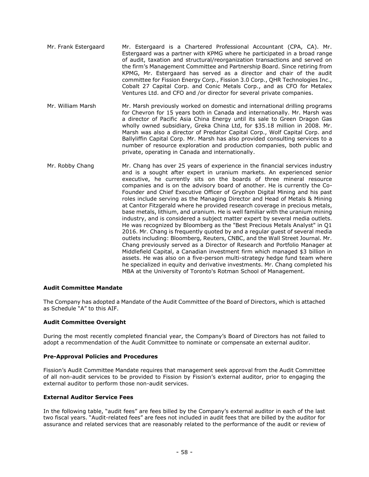- Mr. Frank Estergaard Mr. Estergaard is a Chartered Professional Accountant (CPA, CA). Mr. Estergaard was a partner with KPMG where he participated in a broad range of audit, taxation and structural/reorganization transactions and served on the firm's Management Committee and Partnership Board. Since retiring from KPMG, Mr. Estergaard has served as a director and chair of the audit committee for Fission Energy Corp., Fission 3.0 Corp., QHR Technologies Inc., Cobalt 27 Capital Corp. and Conic Metals Corp., and as CFO for Metalex Ventures Ltd. and CFO and /or director for several private companies.
- Mr. William Marsh Mr. Marsh previously worked on domestic and international drilling programs for Chevron for 15 years both in Canada and internationally. Mr. Marsh was a director of Pacific Asia China Energy until its sale to Green Dragon Gas wholly owned subsidiary, Greka China Ltd, for \$35.18 million in 2008. Mr. Marsh was also a director of Predator Capital Corp., Wolf Capital Corp. and Ballyliffin Capital Corp. Mr. Marsh has also provided consulting services to a number of resource exploration and production companies, both public and private, operating in Canada and internationally.
- Mr. Robby Chang Mr. Chang has over 25 years of experience in the financial services industry and is a sought after expert in uranium markets. An experienced senior executive, he currently sits on the boards of three mineral resource companies and is on the advisory board of another. He is currently the Co-Founder and Chief Executive Officer of Gryphon Digital Mining and his past roles include serving as the Managing Director and Head of Metals & Mining at Cantor Fitzgerald where he provided research coverage in precious metals, base metals, lithium, and uranium. He is well familiar with the uranium mining industry, and is considered a subject matter expert by several media outlets. He was recognized by Bloomberg as the "Best Precious Metals Analyst" in Q1 2016. Mr. Chang is frequently quoted by and a regular guest of several media outlets including: Bloomberg, Reuters, CNBC, and the Wall Street Journal. Mr. Chang previously served as a Director of Research and Portfolio Manager at Middlefield Capital, a Canadian investment firm which managed \$3 billion in assets. He was also on a five-person multi-strategy hedge fund team where he specialized in equity and derivative investments. Mr. Chang completed his MBA at the University of Toronto's Rotman School of Management.

# <span id="page-58-0"></span>**Audit Committee Mandate**

The Company has adopted a Mandate of the Audit Committee of the Board of Directors, which is attached as Schedule "A" to this AIF.

# <span id="page-58-1"></span>**Audit Committee Oversight**

During the most recently completed financial year, the Company's Board of Directors has not failed to adopt a recommendation of the Audit Committee to nominate or compensate an external auditor.

# <span id="page-58-2"></span>**Pre-Approval Policies and Procedures**

Fission's Audit Committee Mandate requires that management seek approval from the Audit Committee of all non-audit services to be provided to Fission by Fission's external auditor, prior to engaging the external auditor to perform those non-audit services.

# <span id="page-58-3"></span>**External Auditor Service Fees**

In the following table, "audit fees" are fees billed by the Company's external auditor in each of the last two fiscal years. "Audit-related fees" are fees not included in audit fees that are billed by the auditor for assurance and related services that are reasonably related to the performance of the audit or review of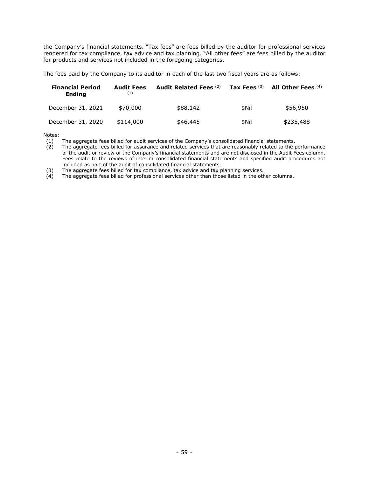the Company's financial statements. "Tax fees" are fees billed by the auditor for professional services rendered for tax compliance, tax advice and tax planning. "All other fees" are fees billed by the auditor for products and services not included in the foregoing categories.

The fees paid by the Company to its auditor in each of the last two fiscal years are as follows:

| <b>Financial Period</b><br><b>Endina</b> | <b>Audit Fees</b><br>(1) | Audit Related Fees (2) | Tax Fees $(3)$ | All Other Fees (4) |
|------------------------------------------|--------------------------|------------------------|----------------|--------------------|
| December 31, 2021                        | \$70,000                 | \$88,142               | \$Nil          | \$56,950           |
| December 31, 2020                        | \$114,000                | \$46,445               | \$Nil          | \$235,488          |

Notes:

(1) The aggregate fees billed for audit services of the Company's consolidated financial statements.<br>(2) The aggregate fees billed for assurance and related services that are reasonably related to the portune

The aggregate fees billed for assurance and related services that are reasonably related to the performance of the audit or review of the Company's financial statements and are not disclosed in the Audit Fees column. Fees relate to the reviews of interim consolidated financial statements and specified audit procedures not included as part of the audit of consolidated financial statements.

(3) The aggregate fees billed for tax compliance, tax advice and tax planning services.<br>(4) The aggregate fees billed for professional services other than those listed in the other

The aggregate fees billed for professional services other than those listed in the other columns.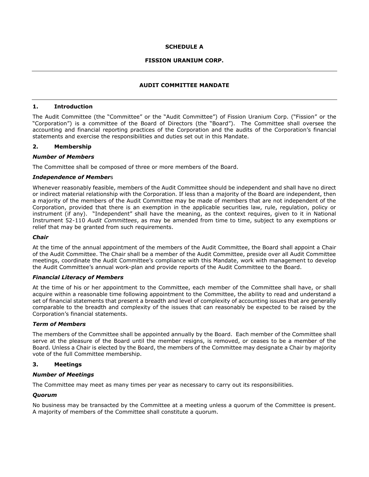## **SCHEDULE A**

#### **FISSION URANIUM CORP.**

#### **AUDIT COMMITTEE MANDATE**

#### **1. Introduction**

The Audit Committee (the "Committee" or the "Audit Committee") of Fission Uranium Corp. ("Fission" or the "Corporation") is a committee of the Board of Directors (the "Board"). The Committee shall oversee the accounting and financial reporting practices of the Corporation and the audits of the Corporation's financial statements and exercise the responsibilities and duties set out in this Mandate.

#### **2. Membership**

#### *Number of Members*

The Committee shall be composed of three or more members of the Board.

#### *Independence of Member*s

Whenever reasonably feasible, members of the Audit Committee should be independent and shall have no direct or indirect material relationship with the Corporation. If less than a majority of the Board are independent, then a majority of the members of the Audit Committee may be made of members that are not independent of the Corporation, provided that there is an exemption in the applicable securities law, rule, regulation, policy or instrument (if any). "Independent" shall have the meaning, as the context requires, given to it in National Instrument 52-110 *Audit Committees*, as may be amended from time to time, subject to any exemptions or relief that may be granted from such requirements.

#### *Chair*

At the time of the annual appointment of the members of the Audit Committee, the Board shall appoint a Chair of the Audit Committee. The Chair shall be a member of the Audit Committee, preside over all Audit Committee meetings, coordinate the Audit Committee's compliance with this Mandate, work with management to develop the Audit Committee's annual work-plan and provide reports of the Audit Committee to the Board.

#### *Financial Literacy of Members*

At the time of his or her appointment to the Committee, each member of the Committee shall have, or shall acquire within a reasonable time following appointment to the Committee, the ability to read and understand a set of financial statements that present a breadth and level of complexity of accounting issues that are generally comparable to the breadth and complexity of the issues that can reasonably be expected to be raised by the Corporation's financial statements.

#### *Term of Members*

The members of the Committee shall be appointed annually by the Board. Each member of the Committee shall serve at the pleasure of the Board until the member resigns, is removed, or ceases to be a member of the Board. Unless a Chair is elected by the Board, the members of the Committee may designate a Chair by majority vote of the full Committee membership.

#### **3. Meetings**

#### *Number of Meetings*

The Committee may meet as many times per year as necessary to carry out its responsibilities.

# *Quorum*

No business may be transacted by the Committee at a meeting unless a quorum of the Committee is present. A majority of members of the Committee shall constitute a quorum.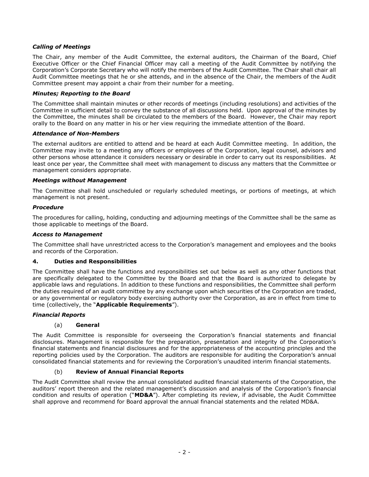# *Calling of Meetings*

The Chair, any member of the Audit Committee, the external auditors, the Chairman of the Board, Chief Executive Officer or the Chief Financial Officer may call a meeting of the Audit Committee by notifying the Corporation's Corporate Secretary who will notify the members of the Audit Committee. The Chair shall chair all Audit Committee meetings that he or she attends, and in the absence of the Chair, the members of the Audit Committee present may appoint a chair from their number for a meeting.

# *Minutes; Reporting to the Board*

The Committee shall maintain minutes or other records of meetings (including resolutions) and activities of the Committee in sufficient detail to convey the substance of all discussions held. Upon approval of the minutes by the Committee, the minutes shall be circulated to the members of the Board. However, the Chair may report orally to the Board on any matter in his or her view requiring the immediate attention of the Board.

# *Attendance of Non-Members*

The external auditors are entitled to attend and be heard at each Audit Committee meeting. In addition, the Committee may invite to a meeting any officers or employees of the Corporation, legal counsel, advisors and other persons whose attendance it considers necessary or desirable in order to carry out its responsibilities. At least once per year, the Committee shall meet with management to discuss any matters that the Committee or management considers appropriate.

# *Meetings without Management*

The Committee shall hold unscheduled or regularly scheduled meetings, or portions of meetings, at which management is not present.

# *Procedure*

The procedures for calling, holding, conducting and adjourning meetings of the Committee shall be the same as those applicable to meetings of the Board.

# *Access to Management*

The Committee shall have unrestricted access to the Corporation's management and employees and the books and records of the Corporation.

# **4. Duties and Responsibilities**

The Committee shall have the functions and responsibilities set out below as well as any other functions that are specifically delegated to the Committee by the Board and that the Board is authorized to delegate by applicable laws and regulations. In addition to these functions and responsibilities, the Committee shall perform the duties required of an audit committee by any exchange upon which securities of the Corporation are traded, or any governmental or regulatory body exercising authority over the Corporation, as are in effect from time to time (collectively, the "**Applicable Requirements**").

# *Financial Reports*

# (a) **General**

The Audit Committee is responsible for overseeing the Corporation's financial statements and financial disclosures. Management is responsible for the preparation, presentation and integrity of the Corporation's financial statements and financial disclosures and for the appropriateness of the accounting principles and the reporting policies used by the Corporation. The auditors are responsible for auditing the Corporation's annual consolidated financial statements and for reviewing the Corporation's unaudited interim financial statements.

# (b) **Review of Annual Financial Reports**

The Audit Committee shall review the annual consolidated audited financial statements of the Corporation, the auditors' report thereon and the related management's discussion and analysis of the Corporation's financial condition and results of operation ("**MD&A**"). After completing its review, if advisable, the Audit Committee shall approve and recommend for Board approval the annual financial statements and the related MD&A.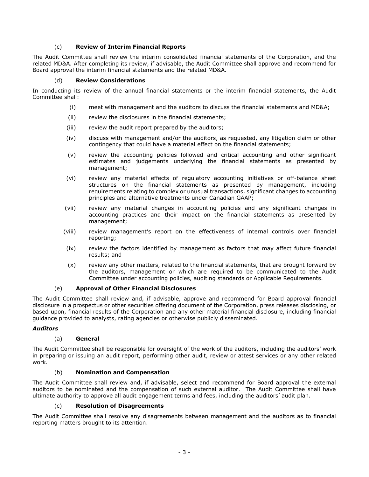# (c) **Review of Interim Financial Reports**

The Audit Committee shall review the interim consolidated financial statements of the Corporation, and the related MD&A. After completing its review, if advisable, the Audit Committee shall approve and recommend for Board approval the interim financial statements and the related MD&A.

# (d) **Review Considerations**

In conducting its review of the annual financial statements or the interim financial statements, the Audit Committee shall:

- (i) meet with management and the auditors to discuss the financial statements and MD&A;
- (ii) review the disclosures in the financial statements;
- (iii) review the audit report prepared by the auditors;
- (iv) discuss with management and/or the auditors, as requested, any litigation claim or other contingency that could have a material effect on the financial statements;
- (v) review the accounting policies followed and critical accounting and other significant estimates and judgements underlying the financial statements as presented by management;
- (vi) review any material effects of regulatory accounting initiatives or off-balance sheet structures on the financial statements as presented by management, including requirements relating to complex or unusual transactions, significant changes to accounting principles and alternative treatments under Canadian GAAP;
- (vii) review any material changes in accounting policies and any significant changes in accounting practices and their impact on the financial statements as presented by management;
- (viii) review management's report on the effectiveness of internal controls over financial reporting;
- (ix) review the factors identified by management as factors that may affect future financial results; and
- (x) review any other matters, related to the financial statements, that are brought forward by the auditors, management or which are required to be communicated to the Audit Committee under accounting policies, auditing standards or Applicable Requirements.

# (e) **Approval of Other Financial Disclosures**

The Audit Committee shall review and, if advisable, approve and recommend for Board approval financial disclosure in a prospectus or other securities offering document of the Corporation, press releases disclosing, or based upon, financial results of the Corporation and any other material financial disclosure, including financial guidance provided to analysts, rating agencies or otherwise publicly disseminated.

# *Auditors*

# (a) **General**

The Audit Committee shall be responsible for oversight of the work of the auditors, including the auditors' work in preparing or issuing an audit report, performing other audit, review or attest services or any other related work.

# (b) **Nomination and Compensation**

The Audit Committee shall review and, if advisable, select and recommend for Board approval the external auditors to be nominated and the compensation of such external auditor. The Audit Committee shall have ultimate authority to approve all audit engagement terms and fees, including the auditors' audit plan.

#### (c) **Resolution of Disagreements**

The Audit Committee shall resolve any disagreements between management and the auditors as to financial reporting matters brought to its attention.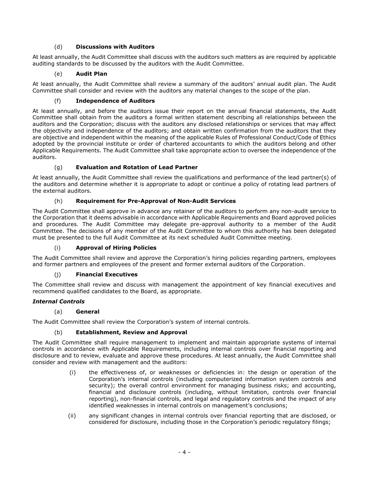# (d) **Discussions with Auditors**

At least annually, the Audit Committee shall discuss with the auditors such matters as are required by applicable auditing standards to be discussed by the auditors with the Audit Committee.

# (e) **Audit Plan**

At least annually, the Audit Committee shall review a summary of the auditors' annual audit plan. The Audit Committee shall consider and review with the auditors any material changes to the scope of the plan.

# (f) **Independence of Auditors**

At least annually, and before the auditors issue their report on the annual financial statements, the Audit Committee shall obtain from the auditors a formal written statement describing all relationships between the auditors and the Corporation; discuss with the auditors any disclosed relationships or services that may affect the objectivity and independence of the auditors; and obtain written confirmation from the auditors that they are objective and independent within the meaning of the applicable Rules of Professional Conduct/Code of Ethics adopted by the provincial institute or order of chartered accountants to which the auditors belong and other Applicable Requirements. The Audit Committee shall take appropriate action to oversee the independence of the auditors.

# (g) **Evaluation and Rotation of Lead Partner**

At least annually, the Audit Committee shall review the qualifications and performance of the lead partner(s) of the auditors and determine whether it is appropriate to adopt or continue a policy of rotating lead partners of the external auditors.

# (h) **Requirement for Pre-Approval of Non-Audit Services**

The Audit Committee shall approve in advance any retainer of the auditors to perform any non-audit service to the Corporation that it deems advisable in accordance with Applicable Requirements and Board approved policies and procedures. The Audit Committee may delegate pre-approval authority to a member of the Audit Committee. The decisions of any member of the Audit Committee to whom this authority has been delegated must be presented to the full Audit Committee at its next scheduled Audit Committee meeting.

# (i) **Approval of Hiring Policies**

The Audit Committee shall review and approve the Corporation's hiring policies regarding partners, employees and former partners and employees of the present and former external auditors of the Corporation.

# (j) **Financial Executives**

The Committee shall review and discuss with management the appointment of key financial executives and recommend qualified candidates to the Board, as appropriate.

# *Internal Controls*

# (a) **General**

The Audit Committee shall review the Corporation's system of internal controls.

# (b) **Establishment, Review and Approval**

The Audit Committee shall require management to implement and maintain appropriate systems of internal controls in accordance with Applicable Requirements, including internal controls over financial reporting and disclosure and to review, evaluate and approve these procedures. At least annually, the Audit Committee shall consider and review with management and the auditors:

- (i) the effectiveness of, or weaknesses or deficiencies in: the design or operation of the Corporation's internal controls (including computerized information system controls and security); the overall control environment for managing business risks; and accounting, financial and disclosure controls (including, without limitation, controls over financial reporting), non-financial controls, and legal and regulatory controls and the impact of any identified weaknesses in internal controls on management's conclusions;
- (ii) any significant changes in internal controls over financial reporting that are disclosed, or considered for disclosure, including those in the Corporation's periodic regulatory filings;